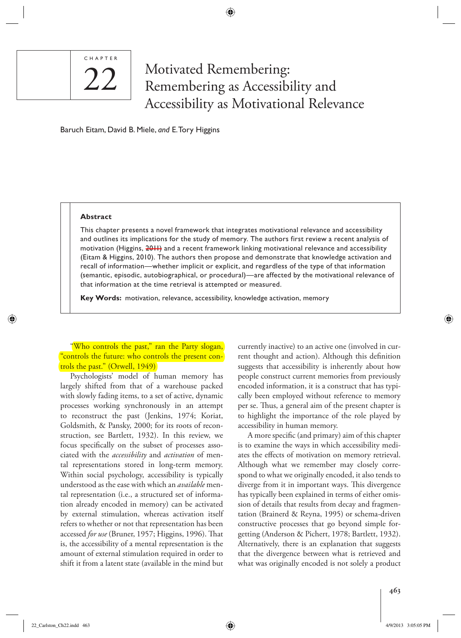# ◈

# C H A P T E R 22

# Motivated Remembering: Remembering as Accessibility and Accessibility as Motivational Relevance

Baruch Eitam, David B. Miele, and E. Tory Higgins

#### **Abstract**

This chapter presents a novel framework that integrates motivational relevance and accessibility and outlines its implications for the study of memory. The authors first review a recent analysis of motivation (Higgins, 2011) and a recent framework linking motivational relevance and accessibility (Eitam & Higgins, 2010). The authors then propose and demonstrate that knowledge activation and recall of information—whether implicit or explicit, and regardless of the type of that information (semantic, episodic, autobiographical, or procedural)—are affected by the motivational relevance of that information at the time retrieval is attempted or measured.

**Key Words:** motivation, relevance, accessibility, knowledge activation, memory

 "Who controls the past," ran the Party slogan, "controls the future: who controls the present controls the past." (Orwell, 1949)

 Psychologists' model of human memory has largely shifted from that of a warehouse packed with slowly fading items, to a set of active, dynamic processes working synchronously in an attempt to reconstruct the past (Jenkins, 1974; Koriat, Goldsmith, & Pansky, 2000; for its roots of reconstruction, see Bartlett, 1932). In this review, we focus specifically on the subset of processes associated with the *accessibility* and *activation* of mental representations stored in long-term memory. Within social psychology, accessibility is typically understood as the ease with which an *available* mental representation (i.e., a structured set of information already encoded in memory) can be activated by external stimulation, whereas activation itself refers to whether or not that representation has been accessed *for use* (Bruner, 1957; Higgins, 1996). That is, the accessibility of a mental representation is the amount of external stimulation required in order to shift it from a latent state (available in the mind but currently inactive) to an active one (involved in current thought and action). Although this definition suggests that accessibility is inherently about how people construct current memories from previously encoded information, it is a construct that has typically been employed without reference to memory per se. Thus, a general aim of the present chapter is to highlight the importance of the role played by accessibility in human memory.

A more specific (and primary) aim of this chapter is to examine the ways in which accessibility mediates the effects of motivation on memory retrieval. Although what we remember may closely correspond to what we originally encoded, it also tends to diverge from it in important ways. This divergence has typically been explained in terms of either omission of details that results from decay and fragmentation (Brainerd & Reyna, 1995) or schema-driven constructive processes that go beyond simple forgetting (Anderson & Pichert, 1978; Bartlett, 1932). Alternatively, there is an explanation that suggests that the divergence between what is retrieved and what was originally encoded is not solely a product

 $22$ \_Carlston\_Ch22.indd 463 4/9/2013 3:05:05 PM  $\bigoplus$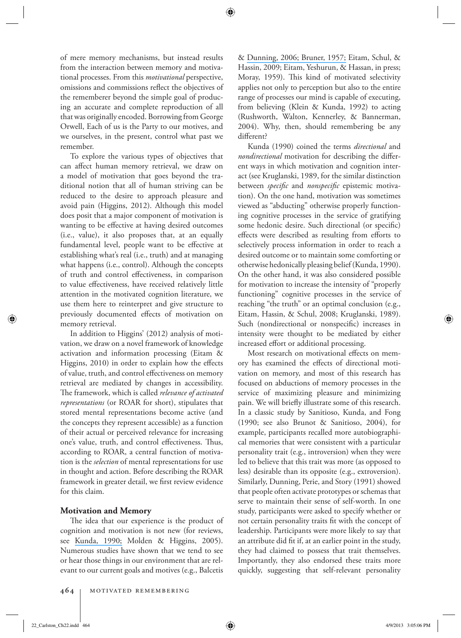of mere memory mechanisms, but instead results from the interaction between memory and motivational processes. From this *motivational* perspective, omissions and commissions reflect the objectives of the rememberer beyond the simple goal of producing an accurate and complete reproduction of all that was originally encoded. Borrowing from George Orwell, Each of us is the Party to our motives, and we ourselves, in the present, control what past we remember.

 To explore the various types of objectives that can affect human memory retrieval, we draw on a model of motivation that goes beyond the traditional notion that all of human striving can be reduced to the desire to approach pleasure and avoid pain (Higgins, 2012). Although this model does posit that a major component of motivation is wanting to be effective at having desired outcomes (i.e., value), it also proposes that, at an equally fundamental level, people want to be effective at establishing what's real (i.e., truth) and at managing what happens (i.e., control). Although the concepts of truth and control effectiveness, in comparison to value effectiveness, have received relatively little attention in the motivated cognition literature, we use them here to reinterpret and give structure to previously documented effects of motivation on memory retrieval.

 In addition to Higgins' (2012) analysis of motivation, we draw on a novel framework of knowledge activation and information processing (Eitam & Higgins, 2010) in order to explain how the effects of value, truth, and control effectiveness on memory retrieval are mediated by changes in accessibility. The framework, which is called *relevance of activated representations* (or ROAR for short), stipulates that stored mental representations become active (and the concepts they represent accessible) as a function of their actual or perceived relevance for increasing one's value, truth, and control effectiveness. Thus, according to ROAR, a central function of motivation is the *selection* of mental representations for use in thought and action. Before describing the ROAR framework in greater detail, we first review evidence for this claim.

#### **Motivation and Memory**

The idea that our experience is the product of cognition and motivation is not new (for reviews, see [Kunda, 1990;](https://www.researchgate.net/publication/20886311_The_Case_for_Motivated_Reason?el=1_x_8&enrichId=rgreq-1d51d9ddb7267f3a6a2f142f68a3fb5f-XXX&enrichSource=Y292ZXJQYWdlOzIzMDcyMDUyMztBUzo5OTAwMDk4NDI3Njk5OUAxNDAwNjE1MDgyNDMy) Molden & Higgins, 2005). Numerous studies have shown that we tend to see or hear those things in our environment that are relevant to our current goals and motives (e.g., Balcetis & [Dunning, 2006; Bruner, 1957;](https://www.researchgate.net/publication/10146769_On_Perceptual_Readiness?el=1_x_8&enrichId=rgreq-1d51d9ddb7267f3a6a2f142f68a3fb5f-XXX&enrichSource=Y292ZXJQYWdlOzIzMDcyMDUyMztBUzo5OTAwMDk4NDI3Njk5OUAxNDAwNjE1MDgyNDMy) Eitam, Schul, & Hassin, 2009; Eitam, Yeshurun, & Hassan, in press; Moray, 1959). This kind of motivated selectivity applies not only to perception but also to the entire range of processes our mind is capable of executing, from believing (Klein & Kunda, 1992) to acting (Rushworth, Walton, Kennerley, & Bannerman, 2004). Why, then, should remembering be any different?

 Kunda (1990) coined the terms *directional* and *nondirectional* motivation for describing the different ways in which motivation and cognition interact (see Kruglanski, 1989, for the similar distinction between *specific* and *nonspecific* epistemic motivation). On the one hand, motivation was sometimes viewed as "abducting" otherwise properly functioning cognitive processes in the service of gratifying some hedonic desire. Such directional (or specific) effects were described as resulting from efforts to selectively process information in order to reach a desired outcome or to maintain some comforting or otherwise hedonically pleasing belief (Kunda, 1990). On the other hand, it was also considered possible for motivation to increase the intensity of "properly functioning" cognitive processes in the service of reaching "the truth" or an optimal conclusion (e.g., Eitam, Hassin, & Schul, 2008; Kruglanski, 1989). Such (nondirectional or nonspecific) increases in intensity were thought to be mediated by either increased effort or additional processing.

Most research on motivational effects on memory has examined the effects of directional motivation on memory, and most of this research has focused on abductions of memory processes in the service of maximizing pleasure and minimizing pain. We will briefly illustrate some of this research. In a classic study by Sanitioso, Kunda, and Fong (1990; see also Brunot & Sanitioso, 2004), for example, participants recalled more autobiographical memories that were consistent with a particular personality trait (e.g., introversion) when they were led to believe that this trait was more (as opposed to less) desirable than its opposite (e.g., extroversion). Similarly, Dunning, Perie, and Story (1991) showed that people often activate prototypes or schemas that serve to maintain their sense of self-worth. In one study, participants were asked to specify whether or not certain personality traits fit with the concept of leadership. Participants were more likely to say that an attribute did fit if, at an earlier point in the study, they had claimed to possess that trait themselves. Importantly, they also endorsed these traits more quickly, suggesting that self-relevant personality

 $22$ \_Carlston\_Ch22.indd 464 4/9/2013 3:05:06 PM  $4/9/2013$  3:05:06 PM  $4/9/2013$  3:05:06 PM  $4/9/2013$  3:05:06 PM  $4/9/2013$  3:05:06 PM  $4/9/2013$  3:05:06 PM  $4/9/2013$  3:05:06 PM  $4/9/2013$  3:05:06 PM  $4/9/2013$  4:07:07: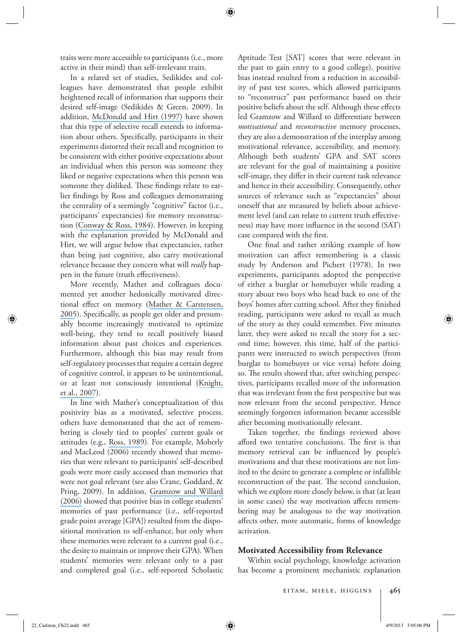traits were more accessible to participants (i.e., more active in their mind) than self-irrelevant traits.

 In a related set of studies, Sedikides and colleagues have demonstrated that people exhibit heightened recall of information that supports their desired self-image (Sedikides & Green, 2009). In addition, [McDonald and Hirt \(1997\)](https://www.researchgate.net/publication/14200947_When_Expectancy_Meets_Desire_Motivational_Effects_in_Reconstructive_Memory?el=1_x_8&enrichId=rgreq-1d51d9ddb7267f3a6a2f142f68a3fb5f-XXX&enrichSource=Y292ZXJQYWdlOzIzMDcyMDUyMztBUzo5OTAwMDk4NDI3Njk5OUAxNDAwNjE1MDgyNDMy) have shown that this type of selective recall extends to information about others. Specifically, participants in their experiments distorted their recall and recognition to be consistent with either positive expectations about an individual when this person was someone they liked or negative expectations when this person was someone they disliked. These findings relate to earlier findings by Ross and colleagues demonstrating the centrality of a seemingly "cognitive" factor (i.e., participants' expectancies) for memory reconstruction ([Conway & Ross, 1984](https://www.researchgate.net/publication/247434530_Getting_What_You_Want_by_Revising_What_You_Had?el=1_x_8&enrichId=rgreq-1d51d9ddb7267f3a6a2f142f68a3fb5f-XXX&enrichSource=Y292ZXJQYWdlOzIzMDcyMDUyMztBUzo5OTAwMDk4NDI3Njk5OUAxNDAwNjE1MDgyNDMy)). However, in keeping with the explanation provided by McDonald and Hirt, we will argue below that expectancies, rather than being just cognitive, also carry motivational relevance because they concern what will *really* happen in the future (truth effectiveness).

 More recently, Mather and colleagues documented yet another hedonically motivated direc-tional effect on memory ([Mather & Carstensen,](https://www.researchgate.net/publication/7609156_Aging_and_Motivated_Cognition_The_Positivity_Effect_in_Attention_and_Memory?el=1_x_8&enrichId=rgreq-1d51d9ddb7267f3a6a2f142f68a3fb5f-XXX&enrichSource=Y292ZXJQYWdlOzIzMDcyMDUyMztBUzo5OTAwMDk4NDI3Njk5OUAxNDAwNjE1MDgyNDMy) [2005](https://www.researchgate.net/publication/7609156_Aging_and_Motivated_Cognition_The_Positivity_Effect_in_Attention_and_Memory?el=1_x_8&enrichId=rgreq-1d51d9ddb7267f3a6a2f142f68a3fb5f-XXX&enrichSource=Y292ZXJQYWdlOzIzMDcyMDUyMztBUzo5OTAwMDk4NDI3Njk5OUAxNDAwNjE1MDgyNDMy)). Specifically, as people get older and presumably become increasingly motivated to optimize well-being, they tend to recall positively biased information about past choices and experiences. Furthermore, although this bias may result from self-regulatory processes that require a certain degree of cognitive control, it appears to be unintentional, or at least not consciously intentional ([Knight,](https://www.researchgate.net/publication/5808867_Aging_and_Goal-Directed_Emotional_Attention_Distraction_Reverses_Emotional_Biases?el=1_x_8&enrichId=rgreq-1d51d9ddb7267f3a6a2f142f68a3fb5f-XXX&enrichSource=Y292ZXJQYWdlOzIzMDcyMDUyMztBUzo5OTAwMDk4NDI3Njk5OUAxNDAwNjE1MDgyNDMy) [et al., 2007](https://www.researchgate.net/publication/5808867_Aging_and_Goal-Directed_Emotional_Attention_Distraction_Reverses_Emotional_Biases?el=1_x_8&enrichId=rgreq-1d51d9ddb7267f3a6a2f142f68a3fb5f-XXX&enrichSource=Y292ZXJQYWdlOzIzMDcyMDUyMztBUzo5OTAwMDk4NDI3Njk5OUAxNDAwNjE1MDgyNDMy)).

 In line with Mather's conceptualization of this positivity bias as a motivated, selective process, others have demonstrated that the act of remembering is closely tied to peoples' current goals or attitudes (e.g., [Ross, 1989](https://www.researchgate.net/publication/232515622_Relation_of_Implicit_Theories_to_the_Construction_of_Personal_Histories?el=1_x_8&enrichId=rgreq-1d51d9ddb7267f3a6a2f142f68a3fb5f-XXX&enrichSource=Y292ZXJQYWdlOzIzMDcyMDUyMztBUzo5OTAwMDk4NDI3Njk5OUAxNDAwNjE1MDgyNDMy)). For example, Moberly and MacLeod (2006) recently showed that memories that were relevant to participants' self-described goals were more easily accessed than memories that were not goal relevant (see also Crane, Goddard, & Pring, 2009). In addition, [Gramzow and Willard](https://www.researchgate.net/publication/6925402_Exaggerating_Current_and_Past_Performance_Motivated_Self-Enhancement_Versus_Reconstructive_Memory?el=1_x_8&enrichId=rgreq-1d51d9ddb7267f3a6a2f142f68a3fb5f-XXX&enrichSource=Y292ZXJQYWdlOzIzMDcyMDUyMztBUzo5OTAwMDk4NDI3Njk5OUAxNDAwNjE1MDgyNDMy) [\(2006\)](https://www.researchgate.net/publication/6925402_Exaggerating_Current_and_Past_Performance_Motivated_Self-Enhancement_Versus_Reconstructive_Memory?el=1_x_8&enrichId=rgreq-1d51d9ddb7267f3a6a2f142f68a3fb5f-XXX&enrichSource=Y292ZXJQYWdlOzIzMDcyMDUyMztBUzo5OTAwMDk4NDI3Njk5OUAxNDAwNjE1MDgyNDMy) showed that positive bias in college students' memories of past performance (i.e., self-reported grade point average [GPA]) resulted from the dispositional motivation to self-enhance, but only when these memories were relevant to a current goal (i.e., the desire to maintain or improve their GPA). When students' memories were relevant only to a past and completed goal (i.e., self-reported Scholastic Aptitude Test [SAT] scores that were relevant in the past to gain entry to a good college), positive bias instead resulted from a reduction in accessibility of past test scores, which allowed participants to "reconstruct" past performance based on their positive beliefs about the self. Although these effects led Gramzow and Willard to differentiate between *motivational* and *reconstructive* memory processes, they are also a demonstration of the interplay among motivational relevance, accessibility, and memory. Although both students' GPA and SAT scores are relevant for the goal of maintaining a positive self-image, they differ in their current task relevance and hence in their accessibility. Consequently, other sources of relevance such as "expectancies" about oneself that are measured by beliefs about achievement level (and can relate to current truth effectiveness) may have more influence in the second (SAT) case compared with the first.

One final and rather striking example of how motivation can affect remembering is a classic study by Anderson and Pichert (1978). In two experiments, participants adopted the perspective of either a burglar or homebuyer while reading a story about two boys who head back to one of the boys' homes after cutting school. After they finished reading, participants were asked to recall as much of the story as they could remember. Five minutes later, they were asked to recall the story for a second time; however, this time, half of the participants were instructed to switch perspectives (from burglar to homebuyer or vice versa) before doing so. The results showed that, after switching perspectives, participants recalled more of the information that was irrelevant from the first perspective but was now relevant from the second perspective. Hence seemingly forgotten information became accessible after becoming motivationally relevant.

Taken together, the findings reviewed above afford two tentative conclusions. The first is that memory retrieval can be influenced by people's motivations and that these motivations are not limited to the desire to generate a complete or infallible reconstruction of the past. The second conclusion, which we explore more closely below, is that (at least in some cases) the way motivation affects remembering may be analogous to the way motivation affects other, more automatic, forms of knowledge activation.

#### **Motivated Accessibility from Relevance**

 Within social psychology, knowledge activation has become a prominent mechanistic explanation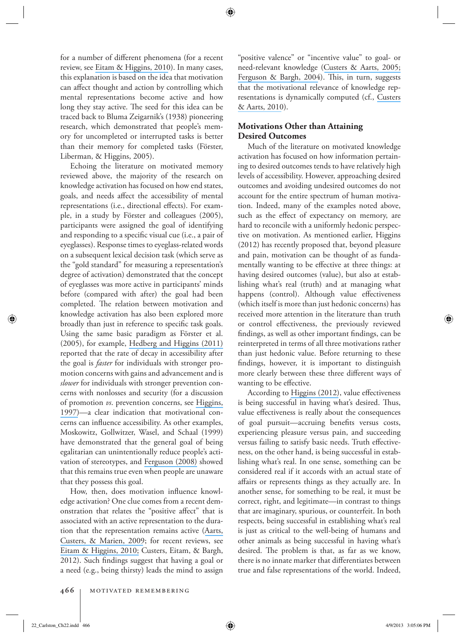for a number of different phenomena (for a recent review, see [Eitam & Higgins, 2010](https://www.researchgate.net/publication/49644122_Motivation_in_Mental_Accessibility_Relevance_Of_A_Representation_ROAR_as_a_New_Framework?el=1_x_8&enrichId=rgreq-1d51d9ddb7267f3a6a2f142f68a3fb5f-XXX&enrichSource=Y292ZXJQYWdlOzIzMDcyMDUyMztBUzo5OTAwMDk4NDI3Njk5OUAxNDAwNjE1MDgyNDMy)). In many cases, this explanation is based on the idea that motivation can affect thought and action by controlling which mental representations become active and how long they stay active. The seed for this idea can be traced back to Bluma Zeigarnik's (1938) pioneering research, which demonstrated that people's memory for uncompleted or interrupted tasks is better than their memory for completed tasks (Förster, Liberman, & Higgins, 2005).

 Echoing the literature on motivated memory reviewed above, the majority of the research on knowledge activation has focused on how end states, goals, and needs affect the accessibility of mental representations (i.e., directional effects). For example, in a study by Förster and colleagues (2005), participants were assigned the goal of identifying and responding to a specific visual cue (i.e., a pair of eyeglasses). Response times to eyeglass-related words on a subsequent lexical decision task (which serve as the "gold standard" for measuring a representation's degree of activation) demonstrated that the concept of eyeglasses was more active in participants' minds before (compared with after) the goal had been completed. The relation between motivation and knowledge activation has also been explored more broadly than just in reference to specific task goals. Using the same basic paradigm as Förster et al. (2005), for example, [Hedberg and Higgins \(2011\)](https://www.researchgate.net/publication/51498773_What_Remains_on_Your_Mind_After_You_Are_Done_Flexible_Regulation_of_Knowledge_Accessibility?el=1_x_8&enrichId=rgreq-1d51d9ddb7267f3a6a2f142f68a3fb5f-XXX&enrichSource=Y292ZXJQYWdlOzIzMDcyMDUyMztBUzo5OTAwMDk4NDI3Njk5OUAxNDAwNjE1MDgyNDMy) reported that the rate of decay in accessibility after the goal is *faster* for individuals with stronger promotion concerns with gains and advancement and is *slower* for individuals with stronger prevention concerns with nonlosses and security (for a discussion of promotion *vs* . prevention concerns, see [Higgins,](https://www.researchgate.net/publication/13814859_Beyond_Pleasure_and_Pain?el=1_x_8&enrichId=rgreq-1d51d9ddb7267f3a6a2f142f68a3fb5f-XXX&enrichSource=Y292ZXJQYWdlOzIzMDcyMDUyMztBUzo5OTAwMDk4NDI3Njk5OUAxNDAwNjE1MDgyNDMy) [1997\)](https://www.researchgate.net/publication/13814859_Beyond_Pleasure_and_Pain?el=1_x_8&enrichId=rgreq-1d51d9ddb7267f3a6a2f142f68a3fb5f-XXX&enrichSource=Y292ZXJQYWdlOzIzMDcyMDUyMztBUzo5OTAwMDk4NDI3Njk5OUAxNDAwNjE1MDgyNDMy)—a clear indication that motivational concerns can influence accessibility. As other examples, Moskowitz, Gollwitzer, Wasel, and Schaal (1999) have demonstrated that the general goal of being egalitarian can unintentionally reduce people's activation of stereotypes, and [Ferguson \(2008\)](https://www.researchgate.net/publication/23489256_On_Becoming_Ready_to_Pursue_a_Goal_You_Don) showed that this remains true even when people are unaware that they possess this goal.

How, then, does motivation influence knowledge activation? One clue comes from a recent demonstration that relates the "positive affect" that is associated with an active representation to the duration that the representation remains active ([Aarts,](https://www.researchgate.net/publication/24309945_Priming_and_Authorship_Ascription_When_Nonconscious_Goals_Turn_Into_Conscious_Experiences_of_Self-Agency?el=1_x_8&enrichId=rgreq-1d51d9ddb7267f3a6a2f142f68a3fb5f-XXX&enrichSource=Y292ZXJQYWdlOzIzMDcyMDUyMztBUzo5OTAwMDk4NDI3Njk5OUAxNDAwNjE1MDgyNDMy) [Custers, & Marien, 2009](https://www.researchgate.net/publication/24309945_Priming_and_Authorship_Ascription_When_Nonconscious_Goals_Turn_Into_Conscious_Experiences_of_Self-Agency?el=1_x_8&enrichId=rgreq-1d51d9ddb7267f3a6a2f142f68a3fb5f-XXX&enrichSource=Y292ZXJQYWdlOzIzMDcyMDUyMztBUzo5OTAwMDk4NDI3Njk5OUAxNDAwNjE1MDgyNDMy); for recent reviews, see [Eitam & Higgins, 2010;](https://www.researchgate.net/publication/49644122_Motivation_in_Mental_Accessibility_Relevance_Of_A_Representation_ROAR_as_a_New_Framework?el=1_x_8&enrichId=rgreq-1d51d9ddb7267f3a6a2f142f68a3fb5f-XXX&enrichSource=Y292ZXJQYWdlOzIzMDcyMDUyMztBUzo5OTAwMDk4NDI3Njk5OUAxNDAwNjE1MDgyNDMy) Custers, Eitam, & Bargh, 2012). Such findings suggest that having a goal or a need (e.g., being thirsty) leads the mind to assign

"positive valence" or "incentive value" to goal- or need-relevant knowledge ([Custers & Aarts, 2005;](https://www.researchgate.net/publication/7600988_Positive_affect_as_implicit_motivator_On_the_nonconscious_operation_of_behavioral_goals?el=1_x_8&enrichId=rgreq-1d51d9ddb7267f3a6a2f142f68a3fb5f-XXX&enrichSource=Y292ZXJQYWdlOzIzMDcyMDUyMztBUzo5OTAwMDk4NDI3Njk5OUAxNDAwNjE1MDgyNDMy) [Ferguson & Bargh, 2004](https://www.researchgate.net/publication/51367133_Liking_is_for_doing_The_effect_of_goal_pursuit_on_automatic_evaluation?el=1_x_8&enrichId=rgreq-1d51d9ddb7267f3a6a2f142f68a3fb5f-XXX&enrichSource=Y292ZXJQYWdlOzIzMDcyMDUyMztBUzo5OTAwMDk4NDI3Njk5OUAxNDAwNjE1MDgyNDMy)). This, in turn, suggests that the motivational relevance of knowledge representations is dynamically computed (cf., [Custers](https://www.researchgate.net/publication/44902102_The_Unconscious_Will_How_the_Pursuit_of_Goals_Operates_Outside_of_Conscious_Awareness?el=1_x_8&enrichId=rgreq-1d51d9ddb7267f3a6a2f142f68a3fb5f-XXX&enrichSource=Y292ZXJQYWdlOzIzMDcyMDUyMztBUzo5OTAwMDk4NDI3Njk5OUAxNDAwNjE1MDgyNDMy) [& Aarts, 2010](https://www.researchgate.net/publication/44902102_The_Unconscious_Will_How_the_Pursuit_of_Goals_Operates_Outside_of_Conscious_Awareness?el=1_x_8&enrichId=rgreq-1d51d9ddb7267f3a6a2f142f68a3fb5f-XXX&enrichSource=Y292ZXJQYWdlOzIzMDcyMDUyMztBUzo5OTAwMDk4NDI3Njk5OUAxNDAwNjE1MDgyNDMy)).

# **Motivations Other than Attaining Desired Outcomes**

 Much of the literature on motivated knowledge activation has focused on how information pertaining to desired outcomes tends to have relatively high levels of accessibility. However, approaching desired outcomes and avoiding undesired outcomes do not account for the entire spectrum of human motivation. Indeed, many of the examples noted above, such as the effect of expectancy on memory, are hard to reconcile with a uniformly hedonic perspective on motivation. As mentioned earlier, Higgins (2012) has recently proposed that, beyond pleasure and pain, motivation can be thought of as fundamentally wanting to be effective at three things: at having desired outcomes (value), but also at establishing what's real (truth) and at managing what happens (control). Although value effectiveness (which itself is more than just hedonic concerns) has received more attention in the literature than truth or control effectiveness, the previously reviewed findings, as well as other important findings, can be reinterpreted in terms of all three motivations rather than just hedonic value. Before returning to these findings, however, it is important to distinguish more clearly between these three different ways of wanting to be effective.

According to [Higgins \(2012\)](https://www.researchgate.net/publication/281665839_Beyond_Pleasure_and_Pain_How_Motivation_Works?el=1_x_8&enrichId=rgreq-1d51d9ddb7267f3a6a2f142f68a3fb5f-XXX&enrichSource=Y292ZXJQYWdlOzIzMDcyMDUyMztBUzo5OTAwMDk4NDI3Njk5OUAxNDAwNjE1MDgyNDMy), value effectiveness is being successful in having what's desired. Thus, value effectiveness is really about the consequences of goal pursuit—accruing benefits versus costs, experiencing pleasure versus pain, and succeeding versus failing to satisfy basic needs. Truth effectiveness, on the other hand, is being successful in establishing what's real. In one sense, something can be considered real if it accords with an actual state of affairs or represents things as they actually are. In another sense, for something to be real, it must be correct, right, and legitimate—in contrast to things that are imaginary, spurious, or counterfeit. In both respects, being successful in establishing what's real is just as critical to the well-being of humans and other animals as being successful in having what's desired. The problem is that, as far as we know, there is no innate marker that differentiates between true and false representations of the world. Indeed,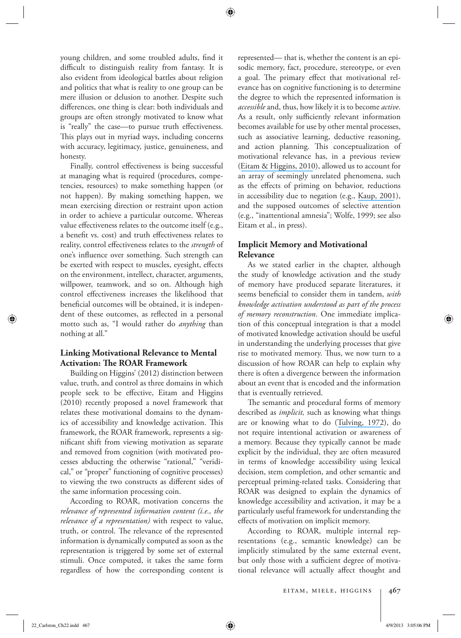young children, and some troubled adults, find it difficult to distinguish reality from fantasy. It is also evident from ideological battles about religion and politics that what is reality to one group can be mere illusion or delusion to another. Despite such differences, one thing is clear: both individuals and groups are often strongly motivated to know what is "really" the case—to pursue truth effectiveness. This plays out in myriad ways, including concerns with accuracy, legitimacy, justice, genuineness, and honesty.

Finally, control effectiveness is being successful at managing what is required (procedures, competencies, resources) to make something happen (or not happen). By making something happen, we mean exercising direction or restraint upon action in order to achieve a particular outcome. Whereas value effectiveness relates to the outcome itself (e.g., a benefit vs. cost) and truth effectiveness relates to reality, control effectiveness relates to the *strength* of one's influence over something. Such strength can be exerted with respect to muscles, eyesight, effects on the environment, intellect, character, arguments, willpower, teamwork, and so on. Although high control effectiveness increases the likelihood that beneficial outcomes will be obtained, it is independent of these outcomes, as reflected in a personal motto such as, "I would rather do *anything* than nothing at all."

#### **Linking Motivational Relevance to Mental Activation: The ROAR Framework**

 Building on Higgins' (2012) distinction between value, truth, and control as three domains in which people seek to be effective, Eitam and Higgins (2010) recently proposed a novel framework that relates these motivational domains to the dynamics of accessibility and knowledge activation. This framework, the ROAR framework, represents a significant shift from viewing motivation as separate and removed from cognition (with motivated processes abducting the otherwise "rational," "veridical," or "proper" functioning of cognitive processes) to viewing the two constructs as different sides of the same information processing coin.

 According to ROAR, motivation concerns the *relevance of represented information content (i.e., the relevance of a representation)* with respect to value, truth, or control. The relevance of the represented information is dynamically computed as soon as the representation is triggered by some set of external stimuli. Once computed, it takes the same form regardless of how the corresponding content is represented— that is, whether the content is an episodic memory, fact, procedure, stereotype, or even a goal. The primary effect that motivational relevance has on cognitive functioning is to determine the degree to which the represented information is *accessible* and, thus, how likely it is to become *active* . As a result, only sufficiently relevant information becomes available for use by other mental processes, such as associative learning, deductive reasoning, and action planning. This conceptualization of motivational relevance has, in a previous review ([Eitam & Higgins, 2010](https://www.researchgate.net/publication/49644122_Motivation_in_Mental_Accessibility_Relevance_Of_A_Representation_ROAR_as_a_New_Framework?el=1_x_8&enrichId=rgreq-1d51d9ddb7267f3a6a2f142f68a3fb5f-XXX&enrichSource=Y292ZXJQYWdlOzIzMDcyMDUyMztBUzo5OTAwMDk4NDI3Njk5OUAxNDAwNjE1MDgyNDMy)), allowed us to account for an array of seemingly unrelated phenomena, such as the effects of priming on behavior, reductions in accessibility due to negation (e.g., [Kaup, 2001](https://www.researchgate.net/publication/11538885_Negation_and_its_impact_on_the_accessibility_of_text_information?el=1_x_8&enrichId=rgreq-1d51d9ddb7267f3a6a2f142f68a3fb5f-XXX&enrichSource=Y292ZXJQYWdlOzIzMDcyMDUyMztBUzo5OTAwMDk4NDI3Njk5OUAxNDAwNjE1MDgyNDMy)), and the supposed outcomes of selective attention (e.g., "inattentional amnesia"; Wolfe, 1999; see also Eitam et al., in press).

#### **Implicit Memory and Motivational Relevance**

 As we stated earlier in the chapter, although the study of knowledge activation and the study of memory have produced separate literatures, it seems beneficial to consider them in tandem, *with knowledge activation understood as part of the process of memory reconstruction* . One immediate implication of this conceptual integration is that a model of motivated knowledge activation should be useful in understanding the underlying processes that give rise to motivated memory. Thus, we now turn to a discussion of how ROAR can help to explain why there is often a divergence between the information about an event that is encoded and the information that is eventually retrieved.

The semantic and procedural forms of memory described as *implicit,* such as knowing what things are or knowing what to do ([Tulving, 1972](https://www.researchgate.net/publication/235700623_Episodic_and_Semantic_Memory?el=1_x_8&enrichId=rgreq-1d51d9ddb7267f3a6a2f142f68a3fb5f-XXX&enrichSource=Y292ZXJQYWdlOzIzMDcyMDUyMztBUzo5OTAwMDk4NDI3Njk5OUAxNDAwNjE1MDgyNDMy)), do not require intentional activation or awareness of a memory. Because they typically cannot be made explicit by the individual, they are often measured in terms of knowledge accessibility using lexical decision, stem completion, and other semantic and perceptual priming-related tasks. Considering that ROAR was designed to explain the dynamics of knowledge accessibility and activation, it may be a particularly useful framework for understanding the effects of motivation on implicit memory.

 According to ROAR, multiple internal representations (e.g., semantic knowledge) can be implicitly stimulated by the same external event, but only those with a sufficient degree of motivational relevance will actually affect thought and

```
eitam, miele, higgins 467
```
 $22$ \_Carlston\_Ch22.indd 467 4/9/2013 3:05:06 PM  $\bigoplus$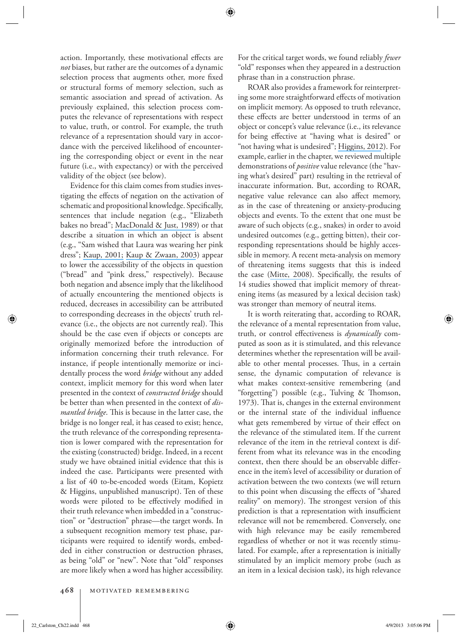action. Importantly, these motivational effects are *not* biases, but rather are the outcomes of a dynamic selection process that augments other, more fixed or structural forms of memory selection, such as semantic association and spread of activation. As previously explained, this selection process computes the relevance of representations with respect to value, truth, or control. For example, the truth relevance of a representation should vary in accordance with the perceived likelihood of encountering the corresponding object or event in the near future (i.e., with expectancy) or with the perceived validity of the object (see below).

 Evidence for this claim comes from studies investigating the effects of negation on the activation of schematic and propositional knowledge. Specifically, sentences that include negation (e.g., "Elizabeth bakes no bread"; [MacDonald & Just, 1989](https://www.researchgate.net/publication/20629007_Changes_in_Activation_Levels_With_Negation?el=1_x_8&enrichId=rgreq-1d51d9ddb7267f3a6a2f142f68a3fb5f-XXX&enrichSource=Y292ZXJQYWdlOzIzMDcyMDUyMztBUzo5OTAwMDk4NDI3Njk5OUAxNDAwNjE1MDgyNDMy)) or that describe a situation in which an object is absent (e.g., "Sam wished that Laura was wearing her pink dress"; [Kaup, 2001;](https://www.researchgate.net/publication/11538885_Negation_and_its_impact_on_the_accessibility_of_text_information?el=1_x_8&enrichId=rgreq-1d51d9ddb7267f3a6a2f142f68a3fb5f-XXX&enrichSource=Y292ZXJQYWdlOzIzMDcyMDUyMztBUzo5OTAwMDk4NDI3Njk5OUAxNDAwNjE1MDgyNDMy) [Kaup & Zwaan, 2003](https://www.researchgate.net/publication/10733819_Effects_of_Negation_and_Situational_Presence_on_the_Accessibility_of_Text_Information?el=1_x_8&enrichId=rgreq-1d51d9ddb7267f3a6a2f142f68a3fb5f-XXX&enrichSource=Y292ZXJQYWdlOzIzMDcyMDUyMztBUzo5OTAwMDk4NDI3Njk5OUAxNDAwNjE1MDgyNDMy)) appear to lower the accessibility of the objects in question ("bread" and "pink dress," respectively). Because both negation and absence imply that the likelihood of actually encountering the mentioned objects is reduced, decreases in accessibility can be attributed to corresponding decreases in the objects' truth relevance (i.e., the objects are not currently real). This should be the case even if objects or concepts are originally memorized before the introduction of information concerning their truth relevance. For instance, if people intentionally memorize or incidentally process the word *bridge* without any added context, implicit memory for this word when later presented in the context of *constructed bridge* should be better than when presented in the context of *dismantled bridge*. This is because in the latter case, the bridge is no longer real, it has ceased to exist; hence, the truth relevance of the corresponding representation is lower compared with the representation for the existing (constructed) bridge. Indeed, in a recent study we have obtained initial evidence that this is indeed the case. Participants were presented with a list of 40 to-be-encoded words (Eitam, Kopietz & Higgins, unpublished manuscript). Ten of these words were piloted to be effectively modified in their truth relevance when imbedded in a "construction" or "destruction" phrase—the target words. In a subsequent recognition memory test phase, participants were required to identify words, embedded in either construction or destruction phrases, as being "old" or "new". Note that "old" responses are more likely when a word has higher accessibility.

For the critical target words, we found reliably *fewer* "old" responses when they appeared in a destruction phrase than in a construction phrase.

 ROAR also provides a framework for reinterpreting some more straightforward effects of motivation on implicit memory. As opposed to truth relevance, these effects are better understood in terms of an object or concept's value relevance (i.e., its relevance for being effective at "having what is desired" or "not having what is undesired"; [Higgins, 2012](https://www.researchgate.net/publication/281665839_Beyond_Pleasure_and_Pain_How_Motivation_Works?el=1_x_8&enrichId=rgreq-1d51d9ddb7267f3a6a2f142f68a3fb5f-XXX&enrichSource=Y292ZXJQYWdlOzIzMDcyMDUyMztBUzo5OTAwMDk4NDI3Njk5OUAxNDAwNjE1MDgyNDMy)). For example, earlier in the chapter, we reviewed multiple demonstrations of *positive* value relevance (the "having what's desired" part) resulting in the retrieval of inaccurate information. But, according to ROAR, negative value relevance can also affect memory, as in the case of threatening or anxiety-producing objects and events. To the extent that one must be aware of such objects (e.g., snakes) in order to avoid undesired outcomes (e.g., getting bitten), their corresponding representations should be highly accessible in memory. A recent meta-analysis on memory of threatening items suggests that this is indeed the case ([Mitte, 2008](https://www.researchgate.net/publication/23421971_Memory_Bias_for_Threatening_Information_in_Anxiety_and_Anxiety_Disorders_A_Meta-Analytic_Review?el=1_x_8&enrichId=rgreq-1d51d9ddb7267f3a6a2f142f68a3fb5f-XXX&enrichSource=Y292ZXJQYWdlOzIzMDcyMDUyMztBUzo5OTAwMDk4NDI3Njk5OUAxNDAwNjE1MDgyNDMy)). Specifically, the results of 14 studies showed that implicit memory of threatening items (as measured by a lexical decision task) was stronger than memory of neutral items.

 It is worth reiterating that, according to ROAR, the relevance of a mental representation from value, truth, or control effectiveness is *dynamically* computed as soon as it is stimulated, and this relevance determines whether the representation will be available to other mental processes. Thus, in a certain sense, the dynamic computation of relevance is what makes context-sensitive remembering (and "forgetting") possible (e.g., Tulving & Thomson, 1973). That is, changes in the external environment or the internal state of the individual influence what gets remembered by virtue of their effect on the relevance of the stimulated item. If the current relevance of the item in the retrieval context is different from what its relevance was in the encoding context, then there should be an observable difference in the item's level of accessibility or duration of activation between the two contexts (we will return to this point when discussing the effects of "shared reality" on memory). The strongest version of this prediction is that a representation with insufficient relevance will not be remembered. Conversely, one with high relevance may be easily remembered regardless of whether or not it was recently stimulated. For example, after a representation is initially stimulated by an implicit memory probe (such as an item in a lexical decision task), its high relevance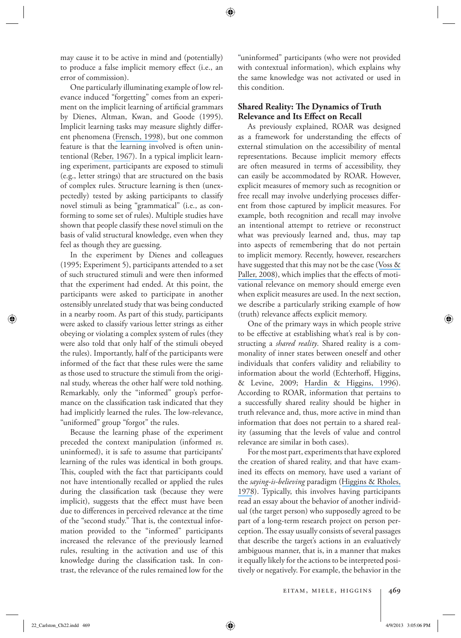may cause it to be active in mind and (potentially) to produce a false implicit memory effect (i.e., an error of commission).

 One particularly illuminating example of low relevance induced "forgetting" comes from an experiment on the implicit learning of artificial grammars by Dienes, Altman, Kwan, and Goode (1995). Implicit learning tasks may measure slightly different phenomena ([Frensch, 1998](https://www.researchgate.net/publication/232547710_One_concept_multiple_meanings_On_how_to_define_the_concept_of_implicit_learning?el=1_x_8&enrichId=rgreq-1d51d9ddb7267f3a6a2f142f68a3fb5f-XXX&enrichSource=Y292ZXJQYWdlOzIzMDcyMDUyMztBUzo5OTAwMDk4NDI3Njk5OUAxNDAwNjE1MDgyNDMy)), but one common feature is that the learning involved is often unintentional ([Reber, 1967](https://www.researchgate.net/publication/222438973_Implicit_Learning_of_Artifical_Grammars?el=1_x_8&enrichId=rgreq-1d51d9ddb7267f3a6a2f142f68a3fb5f-XXX&enrichSource=Y292ZXJQYWdlOzIzMDcyMDUyMztBUzo5OTAwMDk4NDI3Njk5OUAxNDAwNjE1MDgyNDMy)). In a typical implicit learning experiment, participants are exposed to stimuli (e.g., letter strings) that are structured on the basis of complex rules. Structure learning is then (unexpectedly) tested by asking participants to classify novel stimuli as being "grammatical" (i.e., as conforming to some set of rules). Multiple studies have shown that people classify these novel stimuli on the basis of valid structural knowledge, even when they feel as though they are guessing.

 In the experiment by Dienes and colleagues (1995; Experiment 5), participants attended to a set of such structured stimuli and were then informed that the experiment had ended. At this point, the participants were asked to participate in another ostensibly unrelated study that was being conducted in a nearby room. As part of this study, participants were asked to classify various letter strings as either obeying or violating a complex system of rules (they were also told that only half of the stimuli obeyed the rules). Importantly, half of the participants were informed of the fact that these rules were the same as those used to structure the stimuli from the original study, whereas the other half were told nothing. Remarkably, only the "informed" group's performance on the classification task indicated that they had implicitly learned the rules. The low-relevance, "uniformed" group "forgot" the rules.

 Because the learning phase of the experiment preceded the context manipulation (informed *vs* . uninformed), it is safe to assume that participants' learning of the rules was identical in both groups. This, coupled with the fact that participants could not have intentionally recalled or applied the rules during the classification task (because they were implicit), suggests that the effect must have been due to differences in perceived relevance at the time of the "second study." That is, the contextual information provided to the "informed" participants increased the relevance of the previously learned rules, resulting in the activation and use of this knowledge during the classification task. In contrast, the relevance of the rules remained low for the

"uninformed" participants (who were not provided with contextual information), which explains why the same knowledge was not activated or used in this condition.

# **Shared Reality: The Dynamics of Truth Relevance and Its Effect on Recall**

 As previously explained, ROAR was designed as a framework for understanding the effects of external stimulation on the accessibility of mental representations. Because implicit memory effects are often measured in terms of accessibility, they can easily be accommodated by ROAR. However, explicit measures of memory such as recognition or free recall may involve underlying processes different from those captured by implicit measures. For example, both recognition and recall may involve an intentional attempt to retrieve or reconstruct what was previously learned and, thus, may tap into aspects of remembering that do not pertain to implicit memory. Recently, however, researchers have suggested that this may not be the case ([Voss &](https://www.researchgate.net/publication/23160285_Brain_substrates_of_implicit_and_explicit_memory_The_importance_of_concurrently_acquired_neural_signals_of_both_memory_types?el=1_x_8&enrichId=rgreq-1d51d9ddb7267f3a6a2f142f68a3fb5f-XXX&enrichSource=Y292ZXJQYWdlOzIzMDcyMDUyMztBUzo5OTAwMDk4NDI3Njk5OUAxNDAwNjE1MDgyNDMy) [Paller, 2008](https://www.researchgate.net/publication/23160285_Brain_substrates_of_implicit_and_explicit_memory_The_importance_of_concurrently_acquired_neural_signals_of_both_memory_types?el=1_x_8&enrichId=rgreq-1d51d9ddb7267f3a6a2f142f68a3fb5f-XXX&enrichSource=Y292ZXJQYWdlOzIzMDcyMDUyMztBUzo5OTAwMDk4NDI3Njk5OUAxNDAwNjE1MDgyNDMy)), which implies that the effects of motivational relevance on memory should emerge even when explicit measures are used. In the next section, we describe a particularly striking example of how (truth) relevance affects explicit memory.

 One of the primary ways in which people strive to be effective at establishing what's real is by constructing a *shared reality* . Shared reality is a commonality of inner states between oneself and other individuals that confers validity and reliability to information about the world (Echterhoff, Higgins, & Levine, 2009; [Hardin & Higgins, 1996](https://www.researchgate.net/publication/232442936_Shared_reality_How_social_verification_makes_the_subjective_objective?el=1_x_8&enrichId=rgreq-1d51d9ddb7267f3a6a2f142f68a3fb5f-XXX&enrichSource=Y292ZXJQYWdlOzIzMDcyMDUyMztBUzo5OTAwMDk4NDI3Njk5OUAxNDAwNjE1MDgyNDMy)). According to ROAR, information that pertains to a successfully shared reality should be higher in truth relevance and, thus, more active in mind than information that does not pertain to a shared reality (assuming that the levels of value and control relevance are similar in both cases).

 For the most part, experiments that have explored the creation of shared reality, and that have examined its effects on memory, have used a variant of the *saying-is-believing* paradigm ([Higgins & Rholes,](https://www.researchgate.net/publication/223186637_Saying_is_believing_Effects_of_message_modification_on_memory_and_liking_for_the_person_described?el=1_x_8&enrichId=rgreq-1d51d9ddb7267f3a6a2f142f68a3fb5f-XXX&enrichSource=Y292ZXJQYWdlOzIzMDcyMDUyMztBUzo5OTAwMDk4NDI3Njk5OUAxNDAwNjE1MDgyNDMy) [1978](https://www.researchgate.net/publication/223186637_Saying_is_believing_Effects_of_message_modification_on_memory_and_liking_for_the_person_described?el=1_x_8&enrichId=rgreq-1d51d9ddb7267f3a6a2f142f68a3fb5f-XXX&enrichSource=Y292ZXJQYWdlOzIzMDcyMDUyMztBUzo5OTAwMDk4NDI3Njk5OUAxNDAwNjE1MDgyNDMy)). Typically, this involves having participants read an essay about the behavior of another individual (the target person) who supposedly agreed to be part of a long-term research project on person perception. The essay usually consists of several passages that describe the target's actions in an evaluatively ambiguous manner, that is, in a manner that makes it equally likely for the actions to be interpreted positively or negatively. For example, the behavior in the

 $22$ \_Carlston\_Ch22.indd 469 4/9/2013 3:05:06 PM  $\bigoplus$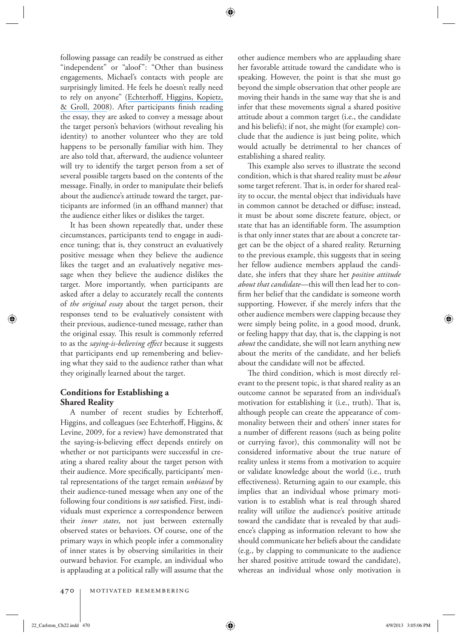following passage can readily be construed as either "independent" or "aloof": "Other than business engagements, Michael's contacts with people are surprisingly limited. He feels he doesn't really need to rely on anyone" (Echterhoff, Higgins, Kopietz, [& Groll, 2008](https://www.researchgate.net/publication/5604350_How_Communication_Goals_Determine_When_Audience_Tuning_Biases_Memory?el=1_x_8&enrichId=rgreq-1d51d9ddb7267f3a6a2f142f68a3fb5f-XXX&enrichSource=Y292ZXJQYWdlOzIzMDcyMDUyMztBUzo5OTAwMDk4NDI3Njk5OUAxNDAwNjE1MDgyNDMy)). After participants finish reading the essay, they are asked to convey a message about the target person's behaviors (without revealing his identity) to another volunteer who they are told happens to be personally familiar with him. They are also told that, afterward, the audience volunteer will try to identify the target person from a set of several possible targets based on the contents of the message. Finally, in order to manipulate their beliefs about the audience's attitude toward the target, participants are informed (in an offhand manner) that the audience either likes or dislikes the target.

 It has been shown repeatedly that, under these circumstances, participants tend to engage in audience tuning; that is, they construct an evaluatively positive message when they believe the audience likes the target and an evaluatively negative message when they believe the audience dislikes the target. More importantly, when participants are asked after a delay to accurately recall the contents of *the original essay* about the target person, their responses tend to be evaluatively consistent with their previous, audience-tuned message, rather than the original essay. This result is commonly referred to as the *saying-is-believing effect* because it suggests that participants end up remembering and believing what they said to the audience rather than what they originally learned about the target.

# **Conditions for Establishing a Shared Reality**

A number of recent studies by Echterhoff, Higgins, and colleagues (see Echterhoff, Higgins, & Levine, 2009, for a review) have demonstrated that the saying-is-believing effect depends entirely on whether or not participants were successful in creating a shared reality about the target person with their audience. More specifically, participants' mental representations of the target remain *unbiased* by their audience-tuned message when any one of the following four conditions is *not* satisfied. First, individuals must experience a correspondence between their *inner states*, not just between externally observed states or behaviors. Of course, one of the primary ways in which people infer a commonality of inner states is by observing similarities in their outward behavior. For example, an individual who is applauding at a political rally will assume that the other audience members who are applauding share her favorable attitude toward the candidate who is speaking. However, the point is that she must go beyond the simple observation that other people are moving their hands in the same way that she is and infer that these movements signal a shared positive attitude about a common target (i.e., the candidate and his beliefs); if not, she might (for example) conclude that the audience is just being polite, which would actually be detrimental to her chances of establishing a shared reality.

This example also serves to illustrate the second condition, which is that shared reality must be *about* some target referent. That is, in order for shared reality to occur, the mental object that individuals have in common cannot be detached or diffuse; instead, it must be about some discrete feature, object, or state that has an identifiable form. The assumption is that only inner states that are about a concrete target can be the object of a shared reality. Returning to the previous example, this suggests that in seeing her fellow audience members applaud the candidate, she infers that they share her *positive attitude about that candidate* —this will then lead her to confirm her belief that the candidate is someone worth supporting. However, if she merely infers that the other audience members were clapping because they were simply being polite, in a good mood, drunk, or feeling happy that day, that is, the clapping is not *about* the candidate, she will not learn anything new about the merits of the candidate, and her beliefs about the candidate will not be affected.

The third condition, which is most directly relevant to the present topic, is that shared reality as an outcome cannot be separated from an individual's motivation for establishing it (i.e., truth). That is, although people can create the appearance of commonality between their and others' inner states for a number of different reasons (such as being polite or currying favor), this commonality will not be considered informative about the true nature of reality unless it stems from a motivation to acquire or validate knowledge about the world (i.e., truth effectiveness). Returning again to our example, this implies that an individual whose primary motivation is to establish what is real through shared reality will utilize the audience's positive attitude toward the candidate that is revealed by that audience's clapping as information relevant to how she should communicate her beliefs about the candidate (e.g., by clapping to communicate to the audience her shared positive attitude toward the candidate), whereas an individual whose only motivation is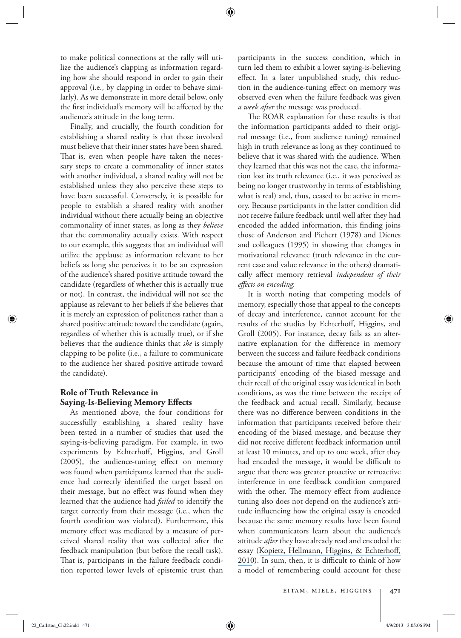to make political connections at the rally will utilize the audience's clapping as information regarding how she should respond in order to gain their approval (i.e., by clapping in order to behave similarly). As we demonstrate in more detail below, only the first individual's memory will be affected by the audience's attitude in the long term.

 Finally, and crucially, the fourth condition for establishing a shared reality is that those involved must believe that their inner states have been shared. That is, even when people have taken the necessary steps to create a commonality of inner states with another individual, a shared reality will not be established unless they also perceive these steps to have been successful. Conversely, it is possible for people to establish a shared reality with another individual without there actually being an objective commonality of inner states, as long as they *believe* that the commonality actually exists. With respect to our example, this suggests that an individual will utilize the applause as information relevant to her beliefs as long she perceives it to be an expression of the audience's shared positive attitude toward the candidate (regardless of whether this is actually true or not). In contrast, the individual will not see the applause as relevant to her beliefs if she believes that it is merely an expression of politeness rather than a shared positive attitude toward the candidate (again, regardless of whether this is actually true), or if she believes that the audience thinks that *she* is simply clapping to be polite (i.e., a failure to communicate to the audience her shared positive attitude toward the candidate).

# **Role of Truth Relevance in Saying-Is-Believing Memory Effects**

 As mentioned above, the four conditions for successfully establishing a shared reality have been tested in a number of studies that used the saying-is-believing paradigm. For example, in two experiments by Echterhoff, Higgins, and Groll  $(2005)$ , the audience-tuning effect on memory was found when participants learned that the audience had correctly identified the target based on their message, but no effect was found when they learned that the audience had *failed* to identify the target correctly from their message (i.e., when the fourth condition was violated). Furthermore, this memory effect was mediated by a measure of perceived shared reality that was collected after the feedback manipulation (but before the recall task). That is, participants in the failure feedback condition reported lower levels of epistemic trust than

participants in the success condition, which in turn led them to exhibit a lower saying-is-believing effect. In a later unpublished study, this reduction in the audience-tuning effect on memory was observed even when the failure feedback was given *a week after* the message was produced.

The ROAR explanation for these results is that the information participants added to their original message (i.e., from audience tuning) remained high in truth relevance as long as they continued to believe that it was shared with the audience. When they learned that this was not the case, the information lost its truth relevance (i.e., it was perceived as being no longer trustworthy in terms of establishing what is real) and, thus, ceased to be active in memory. Because participants in the latter condition did not receive failure feedback until well after they had encoded the added information, this finding joins those of Anderson and Pichert (1978) and Dienes and colleagues (1995) in showing that changes in motivational relevance (truth relevance in the current case and value relevance in the others) dramatically affect memory retrieval *independent of their eff ects on encoding.*

 It is worth noting that competing models of memory, especially those that appeal to the concepts of decay and interference, cannot account for the results of the studies by Echterhoff, Higgins, and Groll (2005). For instance, decay fails as an alternative explanation for the difference in memory between the success and failure feedback conditions because the amount of time that elapsed between participants' encoding of the biased message and their recall of the original essay was identical in both conditions, as was the time between the receipt of the feedback and actual recall. Similarly, because there was no difference between conditions in the information that participants received before their encoding of the biased message, and because they did not receive different feedback information until at least 10 minutes, and up to one week, after they had encoded the message, it would be difficult to argue that there was greater proactive or retroactive interference in one feedback condition compared with the other. The memory effect from audience tuning also does not depend on the audience's attitude influencing how the original essay is encoded because the same memory results have been found when communicators learn about the audience's attitude *after* they have already read and encoded the essay (Kopietz, Hellmann, Higgins, & Echterhoff,  $2010$ ). In sum, then, it is difficult to think of how a model of remembering could account for these

 $22$ \_Carlston\_Ch22.indd 471 4/9/2013 3:05:06 PM  $4/9/2013$  3:05:06 PM  $4/9/2013$  3:05:06 PM  $4/9/2013$  3:05:06 PM  $4/9/2013$  3:05:06 PM  $4/9/2013$  3:05:06 PM  $4/9/2013$  3:05:06 PM  $4/9/2013$  3:05:06 PM  $4/9/2013$  3:05:06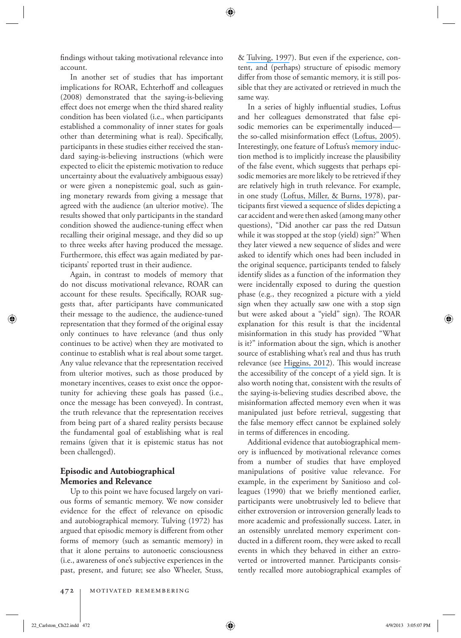findings without taking motivational relevance into account.

 In another set of studies that has important implications for ROAR, Echterhoff and colleagues (2008) demonstrated that the saying-is-believing effect does not emerge when the third shared reality condition has been violated (i.e., when participants established a commonality of inner states for goals other than determining what is real). Specifically, participants in these studies either received the standard saying-is-believing instructions (which were expected to elicit the epistemic motivation to reduce uncertainty about the evaluatively ambiguous essay) or were given a nonepistemic goal, such as gaining monetary rewards from giving a message that agreed with the audience (an ulterior motive). The results showed that only participants in the standard condition showed the audience-tuning effect when recalling their original message, and they did so up to three weeks after having produced the message. Furthermore, this effect was again mediated by participants' reported trust in their audience.

 Again, in contrast to models of memory that do not discuss motivational relevance, ROAR can account for these results. Specifically, ROAR suggests that, after participants have communicated their message to the audience, the audience-tuned representation that they formed of the original essay only continues to have relevance (and thus only continues to be active) when they are motivated to continue to establish what is real about some target. Any value relevance that the representation received from ulterior motives, such as those produced by monetary incentives, ceases to exist once the opportunity for achieving these goals has passed (i.e., once the message has been conveyed). In contrast, the truth relevance that the representation receives from being part of a shared reality persists because the fundamental goal of establishing what is real remains (given that it is epistemic status has not been challenged).

#### **Episodic and Autobiographical Memories and Relevance**

 Up to this point we have focused largely on various forms of semantic memory. We now consider evidence for the effect of relevance on episodic and autobiographical memory. Tulving (1972) has argued that episodic memory is different from other forms of memory (such as semantic memory) in that it alone pertains to autonoetic consciousness (i.e., awareness of one's subjective experiences in the past, present, and future; see also Wheeler, Stuss,

& [Tulving, 1997](https://www.researchgate.net/publication/14081069_Toward_a_Theory_of_Episodic_Memory_The_Frontal_Lobes_and_Autonoetic_Consciousness?el=1_x_8&enrichId=rgreq-1d51d9ddb7267f3a6a2f142f68a3fb5f-XXX&enrichSource=Y292ZXJQYWdlOzIzMDcyMDUyMztBUzo5OTAwMDk4NDI3Njk5OUAxNDAwNjE1MDgyNDMy)). But even if the experience, content, and (perhaps) structure of episodic memory differ from those of semantic memory, it is still possible that they are activated or retrieved in much the same way.

In a series of highly influential studies, Loftus and her colleagues demonstrated that false episodic memories can be experimentally induced— the so-called misinformation effect ([Loftus, 2005](https://www.researchgate.net/publication/7718097_Planting_misinformation_in_the_human_mind_A_30-year_investigation_of_the_malleability_of_memory?el=1_x_8&enrichId=rgreq-1d51d9ddb7267f3a6a2f142f68a3fb5f-XXX&enrichSource=Y292ZXJQYWdlOzIzMDcyMDUyMztBUzo5OTAwMDk4NDI3Njk5OUAxNDAwNjE1MDgyNDMy)). Interestingly, one feature of Loftus's memory induction method is to implicitly increase the plausibility of the false event, which suggests that perhaps episodic memories are more likely to be retrieved if they are relatively high in truth relevance. For example, in one study ([Loftus, Miller, & Burns, 1978](https://www.researchgate.net/publication/22519774_Semantic_Integration_of_Verbal_Information_into_a_Visual_Memory?el=1_x_8&enrichId=rgreq-1d51d9ddb7267f3a6a2f142f68a3fb5f-XXX&enrichSource=Y292ZXJQYWdlOzIzMDcyMDUyMztBUzo5OTAwMDk4NDI3Njk5OUAxNDAwNjE1MDgyNDMy)), participants first viewed a sequence of slides depicting a car accident and were then asked (among many other questions), "Did another car pass the red Datsun while it was stopped at the stop (yield) sign?" When they later viewed a new sequence of slides and were asked to identify which ones had been included in the original sequence, participants tended to falsely identify slides as a function of the information they were incidentally exposed to during the question phase (e.g., they recognized a picture with a yield sign when they actually saw one with a stop sign but were asked about a "yield" sign). The ROAR explanation for this result is that the incidental misinformation in this study has provided "What is it?" information about the sign, which is another source of establishing what's real and thus has truth relevance (see [Higgins, 2012](https://www.researchgate.net/publication/281665839_Beyond_Pleasure_and_Pain_How_Motivation_Works?el=1_x_8&enrichId=rgreq-1d51d9ddb7267f3a6a2f142f68a3fb5f-XXX&enrichSource=Y292ZXJQYWdlOzIzMDcyMDUyMztBUzo5OTAwMDk4NDI3Njk5OUAxNDAwNjE1MDgyNDMy)). This would increase the accessibility of the concept of a yield sign. It is also worth noting that, consistent with the results of the saying-is-believing studies described above, the misinformation affected memory even when it was manipulated just before retrieval, suggesting that the false memory effect cannot be explained solely in terms of differences in encoding.

 Additional evidence that autobiographical memory is influenced by motivational relevance comes from a number of studies that have employed manipulations of positive value relevance. For example, in the experiment by Sanitioso and colleagues (1990) that we briefly mentioned earlier, participants were unobtrusively led to believe that either extroversion or introversion generally leads to more academic and professionally success. Later, in an ostensibly unrelated memory experiment conducted in a different room, they were asked to recall events in which they behaved in either an extroverted or introverted manner. Participants consistently recalled more autobiographical examples of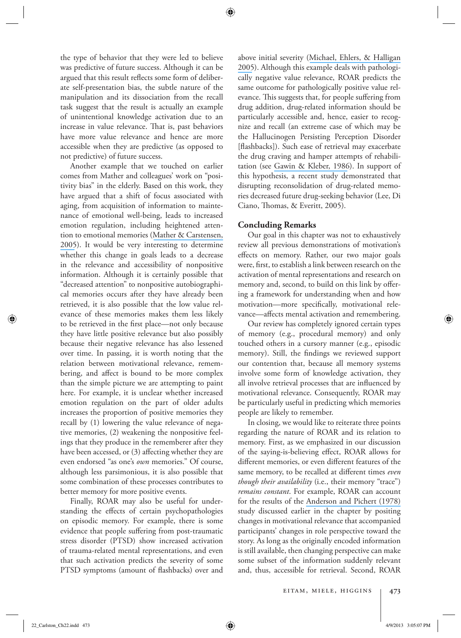the type of behavior that they were led to believe was predictive of future success. Although it can be argued that this result reflects some form of deliberate self-presentation bias, the subtle nature of the manipulation and its dissociation from the recall task suggest that the result is actually an example of unintentional knowledge activation due to an increase in value relevance. That is, past behaviors have more value relevance and hence are more accessible when they are predictive (as opposed to not predictive) of future success.

 Another example that we touched on earlier comes from Mather and colleagues' work on "positivity bias" in the elderly. Based on this work, they have argued that a shift of focus associated with aging, from acquisition of information to maintenance of emotional well-being, leads to increased emotion regulation, including heightened attention to emotional memories ([Mather & Carstensen,](https://www.researchgate.net/publication/7609156_Aging_and_Motivated_Cognition_The_Positivity_Effect_in_Attention_and_Memory?el=1_x_8&enrichId=rgreq-1d51d9ddb7267f3a6a2f142f68a3fb5f-XXX&enrichSource=Y292ZXJQYWdlOzIzMDcyMDUyMztBUzo5OTAwMDk4NDI3Njk5OUAxNDAwNjE1MDgyNDMy) [2005](https://www.researchgate.net/publication/7609156_Aging_and_Motivated_Cognition_The_Positivity_Effect_in_Attention_and_Memory?el=1_x_8&enrichId=rgreq-1d51d9ddb7267f3a6a2f142f68a3fb5f-XXX&enrichSource=Y292ZXJQYWdlOzIzMDcyMDUyMztBUzo5OTAwMDk4NDI3Njk5OUAxNDAwNjE1MDgyNDMy)). It would be very interesting to determine whether this change in goals leads to a decrease in the relevance and accessibility of nonpositive information. Although it is certainly possible that "decreased attention" to nonpositive autobiographical memories occurs after they have already been retrieved, it is also possible that the low value relevance of these memories makes them less likely to be retrieved in the first place—not only because they have little positive relevance but also possibly because their negative relevance has also lessened over time. In passing, it is worth noting that the relation between motivational relevance, remembering, and affect is bound to be more complex than the simple picture we are attempting to paint here. For example, it is unclear whether increased emotion regulation on the part of older adults increases the proportion of positive memories they recall by (1) lowering the value relevance of negative memories, (2) weakening the nonpositive feelings that they produce in the rememberer after they have been accessed, or  $(3)$  affecting whether they are even endorsed "as one's *own* memories." Of course, although less parsimonious, it is also possible that some combination of these processes contributes to better memory for more positive events.

 Finally, ROAR may also be useful for understanding the effects of certain psychopathologies on episodic memory. For example, there is some evidence that people suffering from post-traumatic stress disorder (PTSD) show increased activation of trauma-related mental representations, and even that such activation predicts the severity of some PTSD symptoms (amount of flashbacks) over and above initial severity ([Michael, Ehlers, & Halligan](https://www.researchgate.net/publication/7979584_Enhanced_Priming_for_Trauma-Related_Material_in_Posttraumatic_Stress_Disorder?el=1_x_8&enrichId=rgreq-1d51d9ddb7267f3a6a2f142f68a3fb5f-XXX&enrichSource=Y292ZXJQYWdlOzIzMDcyMDUyMztBUzo5OTAwMDk4NDI3Njk5OUAxNDAwNjE1MDgyNDMy) [2005](https://www.researchgate.net/publication/7979584_Enhanced_Priming_for_Trauma-Related_Material_in_Posttraumatic_Stress_Disorder?el=1_x_8&enrichId=rgreq-1d51d9ddb7267f3a6a2f142f68a3fb5f-XXX&enrichSource=Y292ZXJQYWdlOzIzMDcyMDUyMztBUzo5OTAwMDk4NDI3Njk5OUAxNDAwNjE1MDgyNDMy)). Although this example deals with pathologically negative value relevance, ROAR predicts the same outcome for pathologically positive value relevance. This suggests that, for people suffering from drug addition, drug-related information should be particularly accessible and, hence, easier to recognize and recall (an extreme case of which may be the Hallucinogen Persisting Perception Disorder [flashbacks]). Such ease of retrieval may exacerbate the drug craving and hamper attempts of rehabilitation (see [Gawin & Kleber, 1986](https://www.researchgate.net/publication/19215148_Abstinence_Symptomatology_and_Psychiatric_Diagnosis_in_Cocaine_Abusers_Clinical_Observations?el=1_x_8&enrichId=rgreq-1d51d9ddb7267f3a6a2f142f68a3fb5f-XXX&enrichSource=Y292ZXJQYWdlOzIzMDcyMDUyMztBUzo5OTAwMDk4NDI3Njk5OUAxNDAwNjE1MDgyNDMy)). In support of this hypothesis, a recent study demonstrated that disrupting reconsolidation of drug-related memories decreased future drug-seeking behavior (Lee, Di Ciano, Thomas, & Everitt, 2005).

#### **Concluding Remarks**

 Our goal in this chapter was not to exhaustively review all previous demonstrations of motivation's effects on memory. Rather, our two major goals were, first, to establish a link between research on the activation of mental representations and research on memory and, second, to build on this link by offering a framework for understanding when and how motivation—more specifically, motivational relevance—affects mental activation and remembering.

 Our review has completely ignored certain types of memory (e.g., procedural memory) and only touched others in a cursory manner (e.g., episodic memory). Still, the findings we reviewed support our contention that, because all memory systems involve some form of knowledge activation, they all involve retrieval processes that are influenced by motivational relevance. Consequently, ROAR may be particularly useful in predicting which memories people are likely to remember.

 In closing, we would like to reiterate three points regarding the nature of ROAR and its relation to memory. First, as we emphasized in our discussion of the saying-is-believing effect, ROAR allows for different memories, or even different features of the same memory, to be recalled at different times *even though their availability* (i.e., their memory "trace") *remains constant*. For example, ROAR can account for the results of the [Anderson and Pichert \(1978\)](https://www.researchgate.net/publication/222454758_Recall_of_Previously_Unrecallable_Information_Following_a_Shift_in_Perspective?el=1_x_8&enrichId=rgreq-1d51d9ddb7267f3a6a2f142f68a3fb5f-XXX&enrichSource=Y292ZXJQYWdlOzIzMDcyMDUyMztBUzo5OTAwMDk4NDI3Njk5OUAxNDAwNjE1MDgyNDMy) study discussed earlier in the chapter by positing changes in motivational relevance that accompanied participants' changes in role perspective toward the story. As long as the originally encoded information is still available, then changing perspective can make some subset of the information suddenly relevant and, thus, accessible for retrieval. Second, ROAR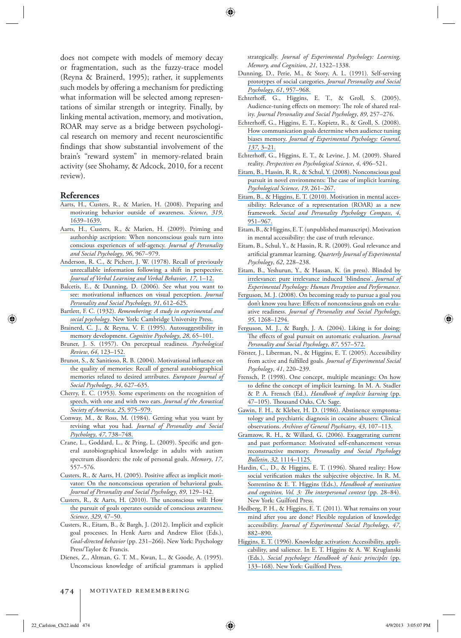does not compete with models of memory decay or fragmentation, such as the fuzzy-trace model (Reyna & Brainerd, 1995); rather, it supplements such models by offering a mechanism for predicting what information will be selected among representations of similar strength or integrity. Finally, by linking mental activation, memory, and motivation, ROAR may serve as a bridge between psychological research on memory and recent neuroscientific findings that show substantial involvement of the brain's "reward system" in memory-related brain activity (see Shohamy, & Adcock, 2010, for a recent review).

#### **[References](https://www.researchgate.net/publication/5494983_Preparing_and_Motivating_Behavior_Outside_of_Awareness?el=1_x_8&enrichId=rgreq-1d51d9ddb7267f3a6a2f142f68a3fb5f-XXX&enrichSource=Y292ZXJQYWdlOzIzMDcyMDUyMztBUzo5OTAwMDk4NDI3Njk5OUAxNDAwNjE1MDgyNDMy)**

- [Aarts, H., Custers, R., & Marien, H. \(2008\). Preparing and](https://www.researchgate.net/publication/5494983_Preparing_and_Motivating_Behavior_Outside_of_Awareness?el=1_x_8&enrichId=rgreq-1d51d9ddb7267f3a6a2f142f68a3fb5f-XXX&enrichSource=Y292ZXJQYWdlOzIzMDcyMDUyMztBUzo5OTAwMDk4NDI3Njk5OUAxNDAwNjE1MDgyNDMy) motivating behavior outside of awareness. Science, 319,  [1639–1639 .](https://www.researchgate.net/publication/5494983_Preparing_and_Motivating_Behavior_Outside_of_Awareness?el=1_x_8&enrichId=rgreq-1d51d9ddb7267f3a6a2f142f68a3fb5f-XXX&enrichSource=Y292ZXJQYWdlOzIzMDcyMDUyMztBUzo5OTAwMDk4NDI3Njk5OUAxNDAwNjE1MDgyNDMy)
- [Aarts, H., Custers, R., & Marien, H. \(2009\). Priming and](https://www.researchgate.net/publication/24309945_Priming_and_Authorship_Ascription_When_Nonconscious_Goals_Turn_Into_Conscious_Experiences_of_Self-Agency?el=1_x_8&enrichId=rgreq-1d51d9ddb7267f3a6a2f142f68a3fb5f-XXX&enrichSource=Y292ZXJQYWdlOzIzMDcyMDUyMztBUzo5OTAwMDk4NDI3Njk5OUAxNDAwNjE1MDgyNDMy) [authorship ascription: When nonconscious goals turn into](https://www.researchgate.net/publication/24309945_Priming_and_Authorship_Ascription_When_Nonconscious_Goals_Turn_Into_Conscious_Experiences_of_Self-Agency?el=1_x_8&enrichId=rgreq-1d51d9ddb7267f3a6a2f142f68a3fb5f-XXX&enrichSource=Y292ZXJQYWdlOzIzMDcyMDUyMztBUzo5OTAwMDk4NDI3Njk5OUAxNDAwNjE1MDgyNDMy) [conscious experiences of self-agency .](https://www.researchgate.net/publication/24309945_Priming_and_Authorship_Ascription_When_Nonconscious_Goals_Turn_Into_Conscious_Experiences_of_Self-Agency?el=1_x_8&enrichId=rgreq-1d51d9ddb7267f3a6a2f142f68a3fb5f-XXX&enrichSource=Y292ZXJQYWdlOzIzMDcyMDUyMztBUzo5OTAwMDk4NDI3Njk5OUAxNDAwNjE1MDgyNDMy) *Journal of Personality [and Social Psychology](https://www.researchgate.net/publication/24309945_Priming_and_Authorship_Ascription_When_Nonconscious_Goals_Turn_Into_Conscious_Experiences_of_Self-Agency?el=1_x_8&enrichId=rgreq-1d51d9ddb7267f3a6a2f142f68a3fb5f-XXX&enrichSource=Y292ZXJQYWdlOzIzMDcyMDUyMztBUzo5OTAwMDk4NDI3Njk5OUAxNDAwNjE1MDgyNDMy)* , *96* , 967–979 .
- [Anderson, R. C., & Pichert, J. W. \(1978\). Recall of previously](https://www.researchgate.net/publication/222454758_Recall_of_Previously_Unrecallable_Information_Following_a_Shift_in_Perspective?el=1_x_8&enrichId=rgreq-1d51d9ddb7267f3a6a2f142f68a3fb5f-XXX&enrichSource=Y292ZXJQYWdlOzIzMDcyMDUyMztBUzo5OTAwMDk4NDI3Njk5OUAxNDAwNjE1MDgyNDMy) unrecallable information following a shift in perspective. *[Journal of Verbal Learning and Verbal Behavior](https://www.researchgate.net/publication/222454758_Recall_of_Previously_Unrecallable_Information_Following_a_Shift_in_Perspective?el=1_x_8&enrichId=rgreq-1d51d9ddb7267f3a6a2f142f68a3fb5f-XXX&enrichSource=Y292ZXJQYWdlOzIzMDcyMDUyMztBUzo5OTAwMDk4NDI3Njk5OUAxNDAwNjE1MDgyNDMy)* , *17* , 1–12 .
- [Balcetis, E., & Dunning, D. \(2006\). See what you want to](https://www.researchgate.net/publication/6781404_See_What_You_Want_to_See_Motivational_Influences_on_Visual_Perception?el=1_x_8&enrichId=rgreq-1d51d9ddb7267f3a6a2f142f68a3fb5f-XXX&enrichSource=Y292ZXJQYWdlOzIzMDcyMDUyMztBUzo5OTAwMDk4NDI3Njk5OUAxNDAwNjE1MDgyNDMy) see: motivational influences on visual perception. *Journal [Personality and Social Psychology](https://www.researchgate.net/publication/6781404_See_What_You_Want_to_See_Motivational_Influences_on_Visual_Perception?el=1_x_8&enrichId=rgreq-1d51d9ddb7267f3a6a2f142f68a3fb5f-XXX&enrichSource=Y292ZXJQYWdlOzIzMDcyMDUyMztBUzo5OTAwMDk4NDI3Njk5OUAxNDAwNjE1MDgyNDMy)* , *91* , 612–625 .
- Bartlett, F. C. (1932). *[Remembering: A study in experimental and](https://www.researchgate.net/publication/264967483_Remembering_A_Study_in_Experimental_Social_Psychology?el=1_x_8&enrichId=rgreq-1d51d9ddb7267f3a6a2f142f68a3fb5f-XXX&enrichSource=Y292ZXJQYWdlOzIzMDcyMDUyMztBUzo5OTAwMDk4NDI3Njk5OUAxNDAwNjE1MDgyNDMy)*  social psychology. New York: Cambridge University Press.
- [Brainerd, C. J., & Reyna, V. F. \(1995\). Autosuggestibility in](https://www.researchgate.net/publication/15302700_Autosuggestibility_in_Memory_Development?el=1_x_8&enrichId=rgreq-1d51d9ddb7267f3a6a2f142f68a3fb5f-XXX&enrichSource=Y292ZXJQYWdlOzIzMDcyMDUyMztBUzo5OTAwMDk4NDI3Njk5OUAxNDAwNjE1MDgyNDMy) memory development. *Cognitive Psychology*, 28, 65-101.
- [Bruner, J. S. \(1957\). On perceptual readiness .](https://www.researchgate.net/publication/10146769_On_Perceptual_Readiness?el=1_x_8&enrichId=rgreq-1d51d9ddb7267f3a6a2f142f68a3fb5f-XXX&enrichSource=Y292ZXJQYWdlOzIzMDcyMDUyMztBUzo5OTAwMDk4NDI3Njk5OUAxNDAwNjE1MDgyNDMy) *Psychological Review* , *64* [, 123–152 .](https://www.researchgate.net/publication/10146769_On_Perceptual_Readiness?el=1_x_8&enrichId=rgreq-1d51d9ddb7267f3a6a2f142f68a3fb5f-XXX&enrichSource=Y292ZXJQYWdlOzIzMDcyMDUyMztBUzo5OTAwMDk4NDI3Njk5OUAxNDAwNjE1MDgyNDMy)
- Brunot, S., & Sanitioso, R. B. (2004). Motivational influence on [the quality of memories: Recall of general autobiographical](https://www.researchgate.net/publication/229937798_Motivational_influence_on_the_quality_of_memories_Recall_of_general_autobiographical_memories_related_to_desired_attributes?el=1_x_8&enrichId=rgreq-1d51d9ddb7267f3a6a2f142f68a3fb5f-XXX&enrichSource=Y292ZXJQYWdlOzIzMDcyMDUyMztBUzo5OTAwMDk4NDI3Njk5OUAxNDAwNjE1MDgyNDMy) [memories related to desired attributes .](https://www.researchgate.net/publication/229937798_Motivational_influence_on_the_quality_of_memories_Recall_of_general_autobiographical_memories_related_to_desired_attributes?el=1_x_8&enrichId=rgreq-1d51d9ddb7267f3a6a2f142f68a3fb5f-XXX&enrichSource=Y292ZXJQYWdlOzIzMDcyMDUyMztBUzo5OTAwMDk4NDI3Njk5OUAxNDAwNjE1MDgyNDMy) *European Journal of [Social Psychology](https://www.researchgate.net/publication/229937798_Motivational_influence_on_the_quality_of_memories_Recall_of_general_autobiographical_memories_related_to_desired_attributes?el=1_x_8&enrichId=rgreq-1d51d9ddb7267f3a6a2f142f68a3fb5f-XXX&enrichSource=Y292ZXJQYWdlOzIzMDcyMDUyMztBUzo5OTAwMDk4NDI3Njk5OUAxNDAwNjE1MDgyNDMy)* , *34* , 627–635 .
- [Cherry, E. C. \(1953\). Some experiments on the recognition of](https://www.researchgate.net/publication/241483589_Some_Experiments_on_the_Recognition_of_Speech_With_One_and_With_Two_Ears?el=1_x_8&enrichId=rgreq-1d51d9ddb7267f3a6a2f142f68a3fb5f-XXX&enrichSource=Y292ZXJQYWdlOzIzMDcyMDUyMztBUzo5OTAwMDk4NDI3Njk5OUAxNDAwNjE1MDgyNDMy) [speech, with one and with two ears .](https://www.researchgate.net/publication/241483589_Some_Experiments_on_the_Recognition_of_Speech_With_One_and_With_Two_Ears?el=1_x_8&enrichId=rgreq-1d51d9ddb7267f3a6a2f142f68a3fb5f-XXX&enrichSource=Y292ZXJQYWdlOzIzMDcyMDUyMztBUzo5OTAwMDk4NDI3Njk5OUAxNDAwNjE1MDgyNDMy) *Journal of the Acoustical [Society of America](https://www.researchgate.net/publication/241483589_Some_Experiments_on_the_Recognition_of_Speech_With_One_and_With_Two_Ears?el=1_x_8&enrichId=rgreq-1d51d9ddb7267f3a6a2f142f68a3fb5f-XXX&enrichSource=Y292ZXJQYWdlOzIzMDcyMDUyMztBUzo5OTAwMDk4NDI3Njk5OUAxNDAwNjE1MDgyNDMy)* , *25* , 975–979 .
- [Conway, M., & Ross, M. \(1984\). Getting what you want by](https://www.researchgate.net/publication/247434530_Getting_What_You_Want_by_Revising_What_You_Had?el=1_x_8&enrichId=rgreq-1d51d9ddb7267f3a6a2f142f68a3fb5f-XXX&enrichSource=Y292ZXJQYWdlOzIzMDcyMDUyMztBUzo5OTAwMDk4NDI3Njk5OUAxNDAwNjE1MDgyNDMy) revising what you had . *[Journal of Personality and Social](https://www.researchgate.net/publication/247434530_Getting_What_You_Want_by_Revising_What_You_Had?el=1_x_8&enrichId=rgreq-1d51d9ddb7267f3a6a2f142f68a3fb5f-XXX&enrichSource=Y292ZXJQYWdlOzIzMDcyMDUyMztBUzo5OTAwMDk4NDI3Njk5OUAxNDAwNjE1MDgyNDMy) Psychology* , *47* [, 738–748 .](https://www.researchgate.net/publication/247434530_Getting_What_You_Want_by_Revising_What_You_Had?el=1_x_8&enrichId=rgreq-1d51d9ddb7267f3a6a2f142f68a3fb5f-XXX&enrichSource=Y292ZXJQYWdlOzIzMDcyMDUyMztBUzo5OTAwMDk4NDI3Njk5OUAxNDAwNjE1MDgyNDMy)
- Crane, L., Goddard, L., & Pring, L. (2009). Specific and general autobiographical knowledge in adults with autism spectrum disorders: the role of personal goals. Memory, 17, 557–576 .
- Custers, R., & Aarts, H. (2005). Positive affect as implicit moti[vator: On the nonconscious operation of behavioral goals](https://www.researchgate.net/publication/7600988_Positive_affect_as_implicit_motivator_On_the_nonconscious_operation_of_behavioral_goals?el=1_x_8&enrichId=rgreq-1d51d9ddb7267f3a6a2f142f68a3fb5f-XXX&enrichSource=Y292ZXJQYWdlOzIzMDcyMDUyMztBUzo5OTAwMDk4NDI3Njk5OUAxNDAwNjE1MDgyNDMy) *. [Journal of Personality and Social Psychology](https://www.researchgate.net/publication/7600988_Positive_affect_as_implicit_motivator_On_the_nonconscious_operation_of_behavioral_goals?el=1_x_8&enrichId=rgreq-1d51d9ddb7267f3a6a2f142f68a3fb5f-XXX&enrichSource=Y292ZXJQYWdlOzIzMDcyMDUyMztBUzo5OTAwMDk4NDI3Njk5OUAxNDAwNjE1MDgyNDMy)* , *89* , 129–142 .
- Custers, R., & Aarts, H. (2010). The unconscious will: How [the pursuit of goals operates outside of conscious awareness .](https://www.researchgate.net/publication/44902102_The_Unconscious_Will_How_the_Pursuit_of_Goals_Operates_Outside_of_Conscious_Awareness?el=1_x_8&enrichId=rgreq-1d51d9ddb7267f3a6a2f142f68a3fb5f-XXX&enrichSource=Y292ZXJQYWdlOzIzMDcyMDUyMztBUzo5OTAwMDk4NDI3Njk5OUAxNDAwNjE1MDgyNDMy) *Science* , *329* [, 47–50 .](https://www.researchgate.net/publication/44902102_The_Unconscious_Will_How_the_Pursuit_of_Goals_Operates_Outside_of_Conscious_Awareness?el=1_x_8&enrichId=rgreq-1d51d9ddb7267f3a6a2f142f68a3fb5f-XXX&enrichSource=Y292ZXJQYWdlOzIzMDcyMDUyMztBUzo5OTAwMDk4NDI3Njk5OUAxNDAwNjE1MDgyNDMy)
- Custers, R., Eitam, B., & Bargh, J. (2012). Implicit and explicit goal processes. In Henk Aarts and Andrew Eliot (Eds.), Goal-directed behavior (pp. 231-266). New York: Psychology Press/Taylor & Francis.
- Dienes, Z., Altman, G. T. M., Kwan, L., & Goode, A. (1995). Unconscious knowledge of artificial grammars is applied

strategically. *Journal of Experimental Psychology: Learning*, *Memory, and Cognition* , *21* , 1322–1338 .

- [Dunning, D., Perie, M., & Story, A. L. \(1991\). Self-serving](https://www.researchgate.net/publication/21380425_Self-Serving_Prototypes_of_Social_Categories?el=1_x_8&enrichId=rgreq-1d51d9ddb7267f3a6a2f142f68a3fb5f-XXX&enrichSource=Y292ZXJQYWdlOzIzMDcyMDUyMztBUzo5OTAwMDk4NDI3Njk5OUAxNDAwNjE1MDgyNDMy) [prototypes of social categories .](https://www.researchgate.net/publication/21380425_Self-Serving_Prototypes_of_Social_Categories?el=1_x_8&enrichId=rgreq-1d51d9ddb7267f3a6a2f142f68a3fb5f-XXX&enrichSource=Y292ZXJQYWdlOzIzMDcyMDUyMztBUzo5OTAwMDk4NDI3Njk5OUAxNDAwNjE1MDgyNDMy) *Journal Personality and Social Psychology* , *61* [, 957–968 .](https://www.researchgate.net/publication/21380425_Self-Serving_Prototypes_of_Social_Categories?el=1_x_8&enrichId=rgreq-1d51d9ddb7267f3a6a2f142f68a3fb5f-XXX&enrichSource=Y292ZXJQYWdlOzIzMDcyMDUyMztBUzo5OTAwMDk4NDI3Njk5OUAxNDAwNjE1MDgyNDMy)
- Echterhoff, G., Higgins, E. T., & Groll, S. (2005). Audience-tuning effects on memory: The role of shared reality. *Journal Personality and Social Psychology*, 89, 257–276.
- Echterhoff, G., Higgins, E. T., Kopietz, R., & Groll, S. (2008).  [How communication goals determine when audience tuning](https://www.researchgate.net/publication/5604350_How_Communication_Goals_Determine_When_Audience_Tuning_Biases_Memory?el=1_x_8&enrichId=rgreq-1d51d9ddb7267f3a6a2f142f68a3fb5f-XXX&enrichSource=Y292ZXJQYWdlOzIzMDcyMDUyMztBUzo5OTAwMDk4NDI3Njk5OUAxNDAwNjE1MDgyNDMy) biases memory. *[Journal of Experimental Psychology: General](https://www.researchgate.net/publication/5604350_How_Communication_Goals_Determine_When_Audience_Tuning_Biases_Memory?el=1_x_8&enrichId=rgreq-1d51d9ddb7267f3a6a2f142f68a3fb5f-XXX&enrichSource=Y292ZXJQYWdlOzIzMDcyMDUyMztBUzo5OTAwMDk4NDI3Njk5OUAxNDAwNjE1MDgyNDMy)*, *137* [, 3–21 .](https://www.researchgate.net/publication/5604350_How_Communication_Goals_Determine_When_Audience_Tuning_Biases_Memory?el=1_x_8&enrichId=rgreq-1d51d9ddb7267f3a6a2f142f68a3fb5f-XXX&enrichSource=Y292ZXJQYWdlOzIzMDcyMDUyMztBUzo5OTAwMDk4NDI3Njk5OUAxNDAwNjE1MDgyNDMy)
- Echterhoff, G., Higgins, E. T., & Levine, J. M. (2009). Shared reality. Perspectives on Psychological Science, 4, 496-521.
- [Eitam, B., Hassin, R. R., & Schul, Y. \(2008\). Nonconscious goal](https://www.researchgate.net/publication/5535994_Nonconscious_Goal_Pursuit_in_Novel_Environments_The_Case_of_Implicit_Learning?el=1_x_8&enrichId=rgreq-1d51d9ddb7267f3a6a2f142f68a3fb5f-XXX&enrichSource=Y292ZXJQYWdlOzIzMDcyMDUyMztBUzo5OTAwMDk4NDI3Njk5OUAxNDAwNjE1MDgyNDMy) pursuit in novel environments: The case of implicit learning. *[Psychological Science](https://www.researchgate.net/publication/5535994_Nonconscious_Goal_Pursuit_in_Novel_Environments_The_Case_of_Implicit_Learning?el=1_x_8&enrichId=rgreq-1d51d9ddb7267f3a6a2f142f68a3fb5f-XXX&enrichSource=Y292ZXJQYWdlOzIzMDcyMDUyMztBUzo5OTAwMDk4NDI3Njk5OUAxNDAwNjE1MDgyNDMy)* , *19* , 261–267.
- [Eitam, B., & Higgins, E. T. \(2010\). Motivation in mental acces](https://www.researchgate.net/publication/49644122_Motivation_in_Mental_Accessibility_Relevance_Of_A_Representation_ROAR_as_a_New_Framework?el=1_x_8&enrichId=rgreq-1d51d9ddb7267f3a6a2f142f68a3fb5f-XXX&enrichSource=Y292ZXJQYWdlOzIzMDcyMDUyMztBUzo5OTAwMDk4NDI3Njk5OUAxNDAwNjE1MDgyNDMy)[sibility: Relevance of a representation \(ROAR\) as a new](https://www.researchgate.net/publication/49644122_Motivation_in_Mental_Accessibility_Relevance_Of_A_Representation_ROAR_as_a_New_Framework?el=1_x_8&enrichId=rgreq-1d51d9ddb7267f3a6a2f142f68a3fb5f-XXX&enrichSource=Y292ZXJQYWdlOzIzMDcyMDUyMztBUzo5OTAwMDk4NDI3Njk5OUAxNDAwNjE1MDgyNDMy) framework. *[Social and Personality Psychology Compass](https://www.researchgate.net/publication/49644122_Motivation_in_Mental_Accessibility_Relevance_Of_A_Representation_ROAR_as_a_New_Framework?el=1_x_8&enrichId=rgreq-1d51d9ddb7267f3a6a2f142f68a3fb5f-XXX&enrichSource=Y292ZXJQYWdlOzIzMDcyMDUyMztBUzo5OTAwMDk4NDI3Njk5OUAxNDAwNjE1MDgyNDMy)*, 4,  [951–967 .](https://www.researchgate.net/publication/49644122_Motivation_in_Mental_Accessibility_Relevance_Of_A_Representation_ROAR_as_a_New_Framework?el=1_x_8&enrichId=rgreq-1d51d9ddb7267f3a6a2f142f68a3fb5f-XXX&enrichSource=Y292ZXJQYWdlOzIzMDcyMDUyMztBUzo5OTAwMDk4NDI3Njk5OUAxNDAwNjE1MDgyNDMy)
- Eitam, B., & Higgins, E. T. (unpublished manuscript). Motivation in mental accessibility: the case of truth relevance.
- Eitam, B., Schul, Y., & Hassin, R. R. (2009). Goal relevance and artificial grammar learning. *Quarterly Journal of Experimental Psychology* , *62* , 228–238 .
- [Eitam, B., Yeshurun, Y., & Hassan, K. \(in press\). Blinded by](https://www.researchgate.net/publication/236058590_Blinded_by_Irrelevance_Pure_Irrelevance_Induced_Blindness?el=1_x_8&enrichId=rgreq-1d51d9ddb7267f3a6a2f142f68a3fb5f-XXX&enrichSource=Y292ZXJQYWdlOzIzMDcyMDUyMztBUzo5OTAwMDk4NDI3Njk5OUAxNDAwNjE1MDgyNDMy) irrelevance: pure irrelevance induced 'blindness'. *Journal of [Experimental Psychology: Human Perception and Performance](https://www.researchgate.net/publication/236058590_Blinded_by_Irrelevance_Pure_Irrelevance_Induced_Blindness?el=1_x_8&enrichId=rgreq-1d51d9ddb7267f3a6a2f142f68a3fb5f-XXX&enrichSource=Y292ZXJQYWdlOzIzMDcyMDUyMztBUzo5OTAwMDk4NDI3Njk5OUAxNDAwNjE1MDgyNDMy)* .
- [Ferguson, M. J. \(2008\). On becoming ready to pursue a goal you](https://www.researchgate.net/publication/23489256_On_Becoming_Ready_to_Pursue_a_Goal_You_Don) don't know you have: Effects of nonconscious goals on evaluative readiness. *[Journal of Personality and Social Psychology](https://www.researchgate.net/publication/23489256_On_Becoming_Ready_to_Pursue_a_Goal_You_Don)*, *95* [, 1268–1294 .](https://www.researchgate.net/publication/23489256_On_Becoming_Ready_to_Pursue_a_Goal_You_Don)
- [Ferguson, M. J., & Bargh, J. A. \(2004\). Liking is for doing:](https://www.researchgate.net/publication/51367133_Liking_is_for_doing_The_effect_of_goal_pursuit_on_automatic_evaluation?el=1_x_8&enrichId=rgreq-1d51d9ddb7267f3a6a2f142f68a3fb5f-XXX&enrichSource=Y292ZXJQYWdlOzIzMDcyMDUyMztBUzo5OTAwMDk4NDI3Njk5OUAxNDAwNjE1MDgyNDMy) The effects of goal pursuit on automatic evaluation. *Journal* [Personality and Social Psychology](https://www.researchgate.net/publication/51367133_Liking_is_for_doing_The_effect_of_goal_pursuit_on_automatic_evaluation?el=1_x_8&enrichId=rgreq-1d51d9ddb7267f3a6a2f142f68a3fb5f-XXX&enrichSource=Y292ZXJQYWdlOzIzMDcyMDUyMztBUzo5OTAwMDk4NDI3Njk5OUAxNDAwNjE1MDgyNDMy), 87, 557-572.
- Förster, J., Liberman, N., & Higgins, E. T. (2005). Accessibility from active and fulfilled goals. *Journal of Experimental Social Psychology* , *41* , 220–239 .
- [Frensch, P. \(1998\). One concept, multiple meanings: On how](https://www.researchgate.net/publication/232547710_One_concept_multiple_meanings_On_how_to_define_the_concept_of_implicit_learning?el=1_x_8&enrichId=rgreq-1d51d9ddb7267f3a6a2f142f68a3fb5f-XXX&enrichSource=Y292ZXJQYWdlOzIzMDcyMDUyMztBUzo5OTAwMDk4NDI3Njk5OUAxNDAwNjE1MDgyNDMy) to define the concept of implicit learning. In M. A. Stadler & P. A. Frensch (Ed.), *[Handbook of implicit learning](https://www.researchgate.net/publication/232547710_One_concept_multiple_meanings_On_how_to_define_the_concept_of_implicit_learning?el=1_x_8&enrichId=rgreq-1d51d9ddb7267f3a6a2f142f68a3fb5f-XXX&enrichSource=Y292ZXJQYWdlOzIzMDcyMDUyMztBUzo5OTAwMDk4NDI3Njk5OUAxNDAwNjE1MDgyNDMy)* (pp.  $47-105$ ). Thousand Oaks, CA: Sage.
- [Gawin, F. H., & Kleber, H. D. \(1986\). Abstinence symptoma](https://www.researchgate.net/publication/19215148_Abstinence_Symptomatology_and_Psychiatric_Diagnosis_in_Cocaine_Abusers_Clinical_Observations?el=1_x_8&enrichId=rgreq-1d51d9ddb7267f3a6a2f142f68a3fb5f-XXX&enrichSource=Y292ZXJQYWdlOzIzMDcyMDUyMztBUzo5OTAwMDk4NDI3Njk5OUAxNDAwNjE1MDgyNDMy)[tology and psychiatric diagnosis in cocaine abusers: Clinical](https://www.researchgate.net/publication/19215148_Abstinence_Symptomatology_and_Psychiatric_Diagnosis_in_Cocaine_Abusers_Clinical_Observations?el=1_x_8&enrichId=rgreq-1d51d9ddb7267f3a6a2f142f68a3fb5f-XXX&enrichSource=Y292ZXJQYWdlOzIzMDcyMDUyMztBUzo5OTAwMDk4NDI3Njk5OUAxNDAwNjE1MDgyNDMy) observations. [Archives of General Psychiatry](https://www.researchgate.net/publication/19215148_Abstinence_Symptomatology_and_Psychiatric_Diagnosis_in_Cocaine_Abusers_Clinical_Observations?el=1_x_8&enrichId=rgreq-1d51d9ddb7267f3a6a2f142f68a3fb5f-XXX&enrichSource=Y292ZXJQYWdlOzIzMDcyMDUyMztBUzo5OTAwMDk4NDI3Njk5OUAxNDAwNjE1MDgyNDMy), 43, 107-113.
- [Gramzow, R. H., & Willard, G. \(2006\). Exaggerating current](https://www.researchgate.net/publication/6925402_Exaggerating_Current_and_Past_Performance_Motivated_Self-Enhancement_Versus_Reconstructive_Memory?el=1_x_8&enrichId=rgreq-1d51d9ddb7267f3a6a2f142f68a3fb5f-XXX&enrichSource=Y292ZXJQYWdlOzIzMDcyMDUyMztBUzo5OTAwMDk4NDI3Njk5OUAxNDAwNjE1MDgyNDMy) [and past performance: Motivated self-enhancement versus](https://www.researchgate.net/publication/6925402_Exaggerating_Current_and_Past_Performance_Motivated_Self-Enhancement_Versus_Reconstructive_Memory?el=1_x_8&enrichId=rgreq-1d51d9ddb7267f3a6a2f142f68a3fb5f-XXX&enrichSource=Y292ZXJQYWdlOzIzMDcyMDUyMztBUzo5OTAwMDk4NDI3Njk5OUAxNDAwNjE1MDgyNDMy) reconstructive memory. [Personality and Social Psychology](https://www.researchgate.net/publication/6925402_Exaggerating_Current_and_Past_Performance_Motivated_Self-Enhancement_Versus_Reconstructive_Memory?el=1_x_8&enrichId=rgreq-1d51d9ddb7267f3a6a2f142f68a3fb5f-XXX&enrichSource=Y292ZXJQYWdlOzIzMDcyMDUyMztBUzo5OTAwMDk4NDI3Njk5OUAxNDAwNjE1MDgyNDMy) *Bulletin* , *32* [, 1114–1125 .](https://www.researchgate.net/publication/6925402_Exaggerating_Current_and_Past_Performance_Motivated_Self-Enhancement_Versus_Reconstructive_Memory?el=1_x_8&enrichId=rgreq-1d51d9ddb7267f3a6a2f142f68a3fb5f-XXX&enrichSource=Y292ZXJQYWdlOzIzMDcyMDUyMztBUzo5OTAwMDk4NDI3Njk5OUAxNDAwNjE1MDgyNDMy)
- [Hardin, C., D., & Higgins, E. T. \(1996\). Shared reality: How](https://www.researchgate.net/publication/232442936_Shared_reality_How_social_verification_makes_the_subjective_objective?el=1_x_8&enrichId=rgreq-1d51d9ddb7267f3a6a2f142f68a3fb5f-XXX&enrichSource=Y292ZXJQYWdlOzIzMDcyMDUyMztBUzo5OTAwMDk4NDI3Njk5OUAxNDAwNjE1MDgyNDMy) social verification makes the subjective objective. In R. M. [Sorrentino & E. T. Higgins \(Eds.\),](https://www.researchgate.net/publication/232442936_Shared_reality_How_social_verification_makes_the_subjective_objective?el=1_x_8&enrichId=rgreq-1d51d9ddb7267f3a6a2f142f68a3fb5f-XXX&enrichSource=Y292ZXJQYWdlOzIzMDcyMDUyMztBUzo5OTAwMDk4NDI3Njk5OUAxNDAwNjE1MDgyNDMy) *Handbook of motivation*  and cognition, Vol. 3: The interpersonal context (pp. 28-84). New York: Guilford Press.
- [Hedberg, P. H., & Higgins, E. T. \(2011\). What remains on your](https://www.researchgate.net/publication/51498773_What_Remains_on_Your_Mind_After_You_Are_Done_Flexible_Regulation_of_Knowledge_Accessibility?el=1_x_8&enrichId=rgreq-1d51d9ddb7267f3a6a2f142f68a3fb5f-XXX&enrichSource=Y292ZXJQYWdlOzIzMDcyMDUyMztBUzo5OTAwMDk4NDI3Njk5OUAxNDAwNjE1MDgyNDMy) [mind after you are done? Flexible regulation of knowledge](https://www.researchgate.net/publication/51498773_What_Remains_on_Your_Mind_After_You_Are_Done_Flexible_Regulation_of_Knowledge_Accessibility?el=1_x_8&enrichId=rgreq-1d51d9ddb7267f3a6a2f142f68a3fb5f-XXX&enrichSource=Y292ZXJQYWdlOzIzMDcyMDUyMztBUzo5OTAwMDk4NDI3Njk5OUAxNDAwNjE1MDgyNDMy) accessibility. *[Journal of Experimental Social Psychology](https://www.researchgate.net/publication/51498773_What_Remains_on_Your_Mind_After_You_Are_Done_Flexible_Regulation_of_Knowledge_Accessibility?el=1_x_8&enrichId=rgreq-1d51d9ddb7267f3a6a2f142f68a3fb5f-XXX&enrichSource=Y292ZXJQYWdlOzIzMDcyMDUyMztBUzo5OTAwMDk4NDI3Njk5OUAxNDAwNjE1MDgyNDMy)*, 47,  [882–890 .](https://www.researchgate.net/publication/51498773_What_Remains_on_Your_Mind_After_You_Are_Done_Flexible_Regulation_of_Knowledge_Accessibility?el=1_x_8&enrichId=rgreq-1d51d9ddb7267f3a6a2f142f68a3fb5f-XXX&enrichSource=Y292ZXJQYWdlOzIzMDcyMDUyMztBUzo5OTAwMDk4NDI3Njk5OUAxNDAwNjE1MDgyNDMy)
- [Higgins, E. T. \(1996\). Knowledge activation: Accessibility, appli](https://www.researchgate.net/publication/232462113_Knowledge_activation_Accessibility_applicability_and_salience?el=1_x_8&enrichId=rgreq-1d51d9ddb7267f3a6a2f142f68a3fb5f-XXX&enrichSource=Y292ZXJQYWdlOzIzMDcyMDUyMztBUzo5OTAwMDk4NDI3Njk5OUAxNDAwNjE1MDgyNDMy)[cability, and salience. In E. T. Higgins & A. W. Kruglanski](https://www.researchgate.net/publication/232462113_Knowledge_activation_Accessibility_applicability_and_salience?el=1_x_8&enrichId=rgreq-1d51d9ddb7267f3a6a2f142f68a3fb5f-XXX&enrichSource=Y292ZXJQYWdlOzIzMDcyMDUyMztBUzo5OTAwMDk4NDI3Njk5OUAxNDAwNjE1MDgyNDMy) (Eds.), *[Social psychology: Handbook of basic principles](https://www.researchgate.net/publication/232462113_Knowledge_activation_Accessibility_applicability_and_salience?el=1_x_8&enrichId=rgreq-1d51d9ddb7267f3a6a2f142f68a3fb5f-XXX&enrichSource=Y292ZXJQYWdlOzIzMDcyMDUyMztBUzo5OTAwMDk4NDI3Njk5OUAxNDAwNjE1MDgyNDMy)* (pp. [133–168\). New York: Guilford Press.](https://www.researchgate.net/publication/232462113_Knowledge_activation_Accessibility_applicability_and_salience?el=1_x_8&enrichId=rgreq-1d51d9ddb7267f3a6a2f142f68a3fb5f-XXX&enrichSource=Y292ZXJQYWdlOzIzMDcyMDUyMztBUzo5OTAwMDk4NDI3Njk5OUAxNDAwNjE1MDgyNDMy)